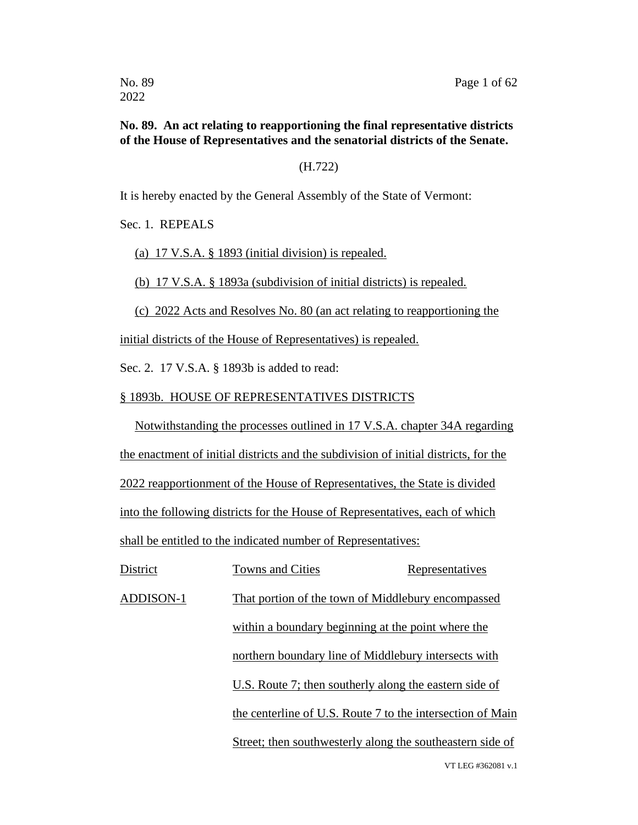#### **No. 89. An act relating to reapportioning the final representative districts of the House of Representatives and the senatorial districts of the Senate.**

(H.722)

It is hereby enacted by the General Assembly of the State of Vermont:

Sec. 1. REPEALS

(a) 17 V.S.A. § 1893 (initial division) is repealed.

(b) 17 V.S.A. § 1893a (subdivision of initial districts) is repealed.

(c) 2022 Acts and Resolves No. 80 (an act relating to reapportioning the

initial districts of the House of Representatives) is repealed.

Sec. 2. 17 V.S.A. § 1893b is added to read:

#### § 1893b. HOUSE OF REPRESENTATIVES DISTRICTS

Notwithstanding the processes outlined in 17 V.S.A. chapter 34A regarding the enactment of initial districts and the subdivision of initial districts, for the 2022 reapportionment of the House of Representatives, the State is divided into the following districts for the House of Representatives, each of which shall be entitled to the indicated number of Representatives:

District Towns and Cities Representatives ADDISON-1 That portion of the town of Middlebury encompassed within a boundary beginning at the point where the northern boundary line of Middlebury intersects with U.S. Route 7; then southerly along the eastern side of the centerline of U.S. Route 7 to the intersection of Main Street; then southwesterly along the southeastern side of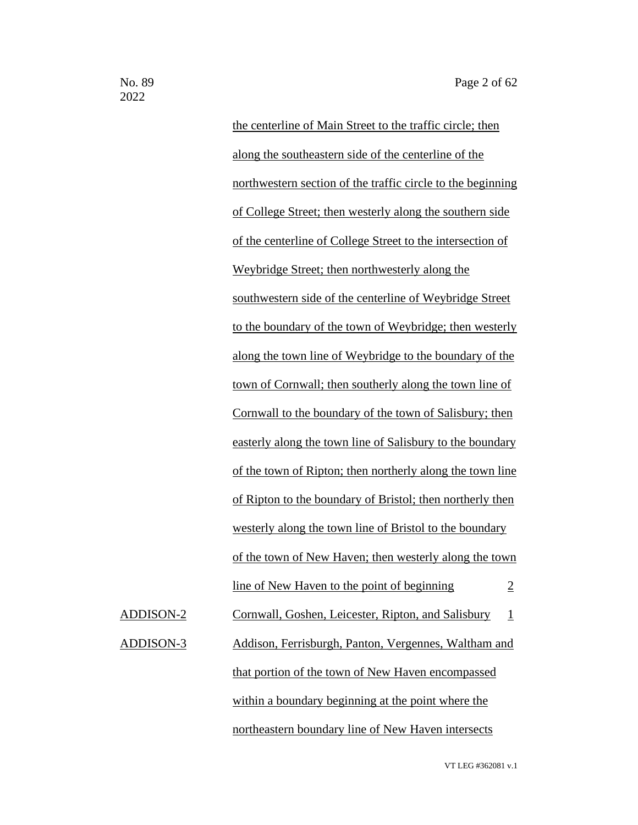the centerline of Main Street to the traffic circle; then along the southeastern side of the centerline of the northwestern section of the traffic circle to the beginning of College Street; then westerly along the southern side of the centerline of College Street to the intersection of Weybridge Street; then northwesterly along the southwestern side of the centerline of Weybridge Street to the boundary of the town of Weybridge; then westerly along the town line of Weybridge to the boundary of the town of Cornwall; then southerly along the town line of Cornwall to the boundary of the town of Salisbury; then easterly along the town line of Salisbury to the boundary of the town of Ripton; then northerly along the town line of Ripton to the boundary of Bristol; then northerly then westerly along the town line of Bristol to the boundary of the town of New Haven; then westerly along the town line of New Haven to the point of beginning  $\frac{2}{3}$ ADDISON-2 Cornwall, Goshen, Leicester, Ripton, and Salisbury 1 ADDISON-3 Addison, Ferrisburgh, Panton, Vergennes, Waltham and that portion of the town of New Haven encompassed within a boundary beginning at the point where the

northeastern boundary line of New Haven intersects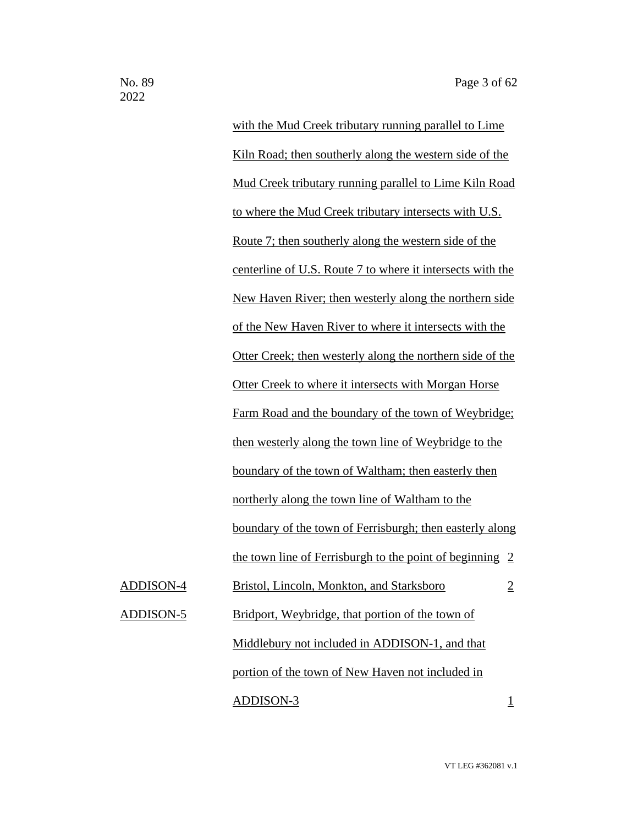with the Mud Creek tributary running parallel to Lime Kiln Road; then southerly along the western side of the Mud Creek tributary running parallel to Lime Kiln Road to where the Mud Creek tributary intersects with U.S. Route 7; then southerly along the western side of the centerline of U.S. Route 7 to where it intersects with the New Haven River; then westerly along the northern side of the New Haven River to where it intersects with the Otter Creek; then westerly along the northern side of the Otter Creek to where it intersects with Morgan Horse Farm Road and the boundary of the town of Weybridge; then westerly along the town line of Weybridge to the boundary of the town of Waltham; then easterly then northerly along the town line of Waltham to the boundary of the town of Ferrisburgh; then easterly along the town line of Ferrisburgh to the point of beginning 2 ADDISON-4 Bristol, Lincoln, Monkton, and Starksboro 2 ADDISON-5 Bridport, Weybridge, that portion of the town of Middlebury not included in ADDISON-1, and that portion of the town of New Haven not included in ADDISON-3 1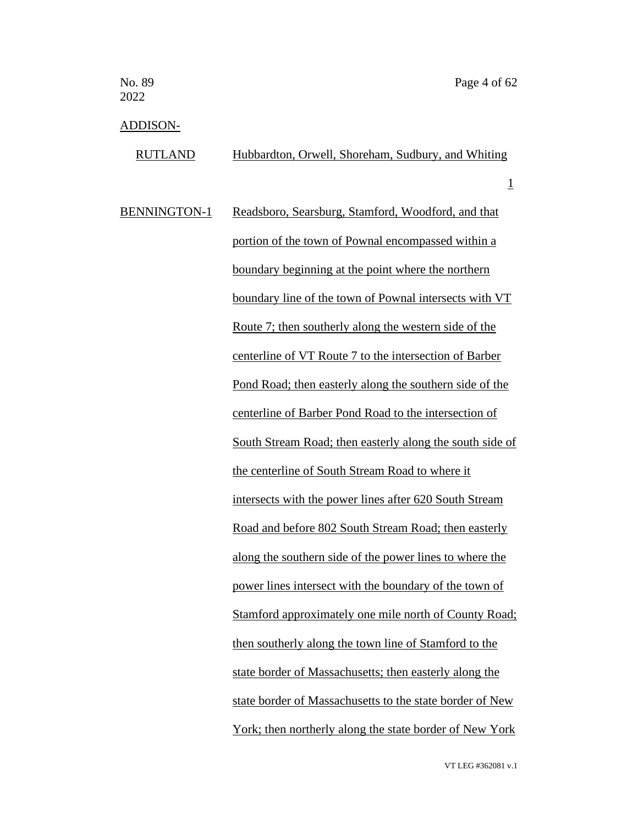## ADDISON-

| <b>IDDINOIT</b>     |                                                          |
|---------------------|----------------------------------------------------------|
| <b>RUTLAND</b>      | Hubbardton, Orwell, Shoreham, Sudbury, and Whiting       |
|                     | $\overline{1}$                                           |
| <b>BENNINGTON-1</b> | Readsboro, Searsburg, Stamford, Woodford, and that       |
|                     | portion of the town of Pownal encompassed within a       |
|                     | boundary beginning at the point where the northern       |
|                     | boundary line of the town of Pownal intersects with VT   |
|                     | Route 7; then southerly along the western side of the    |
|                     | centerline of VT Route 7 to the intersection of Barber   |
|                     | Pond Road; then easterly along the southern side of the  |
|                     | centerline of Barber Pond Road to the intersection of    |
|                     | South Stream Road; then easterly along the south side of |
|                     | the centerline of South Stream Road to where it          |
|                     | intersects with the power lines after 620 South Stream   |
|                     | Road and before 802 South Stream Road; then easterly     |
|                     | along the southern side of the power lines to where the  |
|                     | power lines intersect with the boundary of the town of   |
|                     | Stamford approximately one mile north of County Road;    |
|                     | then southerly along the town line of Stamford to the    |
|                     | state border of Massachusetts; then easterly along the   |

York; then northerly along the state border of New York

state border of Massachusetts to the state border of New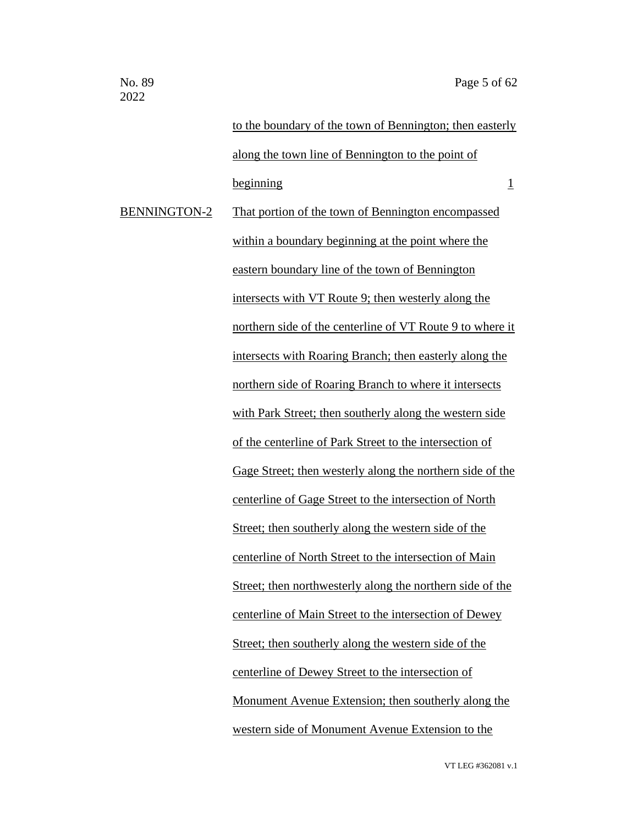to the boundary of the town of Bennington; then easterly along the town line of Bennington to the point of  $begin{array}{c|c}\n \hline\n \text{beginning}\n \end{array}$ BENNINGTON-2 That portion of the town of Bennington encompassed within a boundary beginning at the point where the eastern boundary line of the town of Bennington intersects with VT Route 9; then westerly along the northern side of the centerline of VT Route 9 to where it intersects with Roaring Branch; then easterly along the northern side of Roaring Branch to where it intersects with Park Street; then southerly along the western side of the centerline of Park Street to the intersection of Gage Street; then westerly along the northern side of the centerline of Gage Street to the intersection of North Street; then southerly along the western side of the centerline of North Street to the intersection of Main Street; then northwesterly along the northern side of the centerline of Main Street to the intersection of Dewey Street; then southerly along the western side of the centerline of Dewey Street to the intersection of Monument Avenue Extension; then southerly along the western side of Monument Avenue Extension to the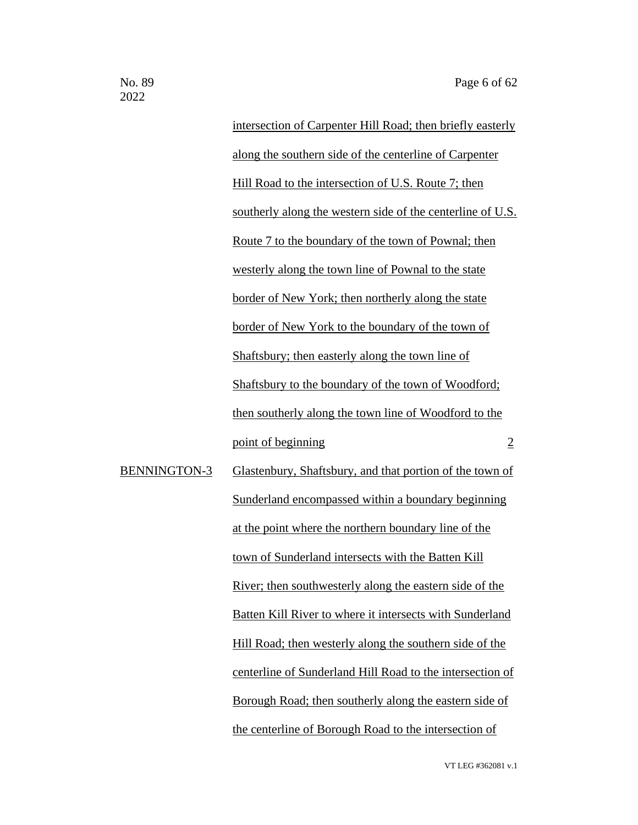intersection of Carpenter Hill Road; then briefly easterly along the southern side of the centerline of Carpenter Hill Road to the intersection of U.S. Route 7; then southerly along the western side of the centerline of U.S. Route 7 to the boundary of the town of Pownal; then westerly along the town line of Pownal to the state border of New York; then northerly along the state border of New York to the boundary of the town of Shaftsbury; then easterly along the town line of Shaftsbury to the boundary of the town of Woodford; then southerly along the town line of Woodford to the point of beginning 2

BENNINGTON-3 Glastenbury, Shaftsbury, and that portion of the town of Sunderland encompassed within a boundary beginning at the point where the northern boundary line of the town of Sunderland intersects with the Batten Kill River; then southwesterly along the eastern side of the Batten Kill River to where it intersects with Sunderland Hill Road; then westerly along the southern side of the centerline of Sunderland Hill Road to the intersection of Borough Road; then southerly along the eastern side of the centerline of Borough Road to the intersection of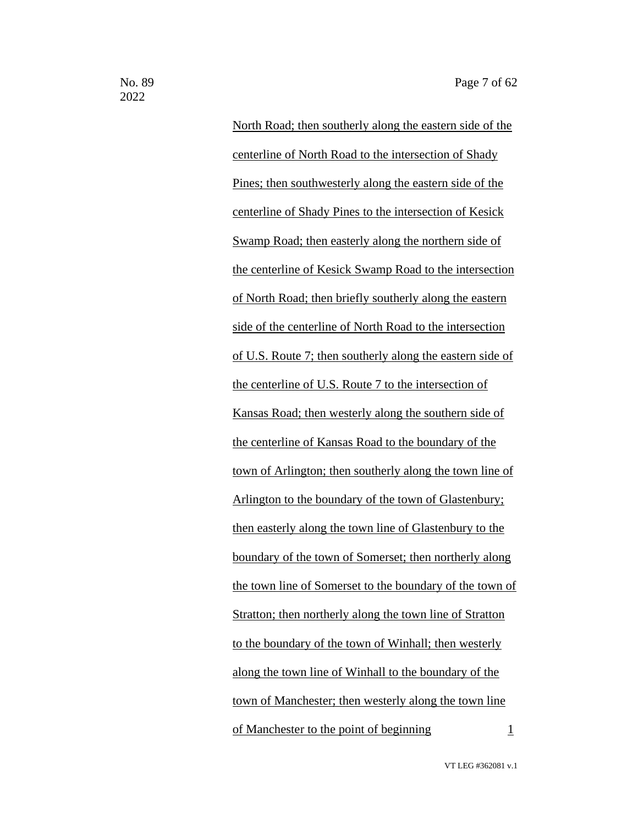North Road; then southerly along the eastern side of the centerline of North Road to the intersection of Shady Pines; then southwesterly along the eastern side of the centerline of Shady Pines to the intersection of Kesick Swamp Road; then easterly along the northern side of the centerline of Kesick Swamp Road to the intersection of North Road; then briefly southerly along the eastern side of the centerline of North Road to the intersection of U.S. Route 7; then southerly along the eastern side of the centerline of U.S. Route 7 to the intersection of Kansas Road; then westerly along the southern side of the centerline of Kansas Road to the boundary of the town of Arlington; then southerly along the town line of Arlington to the boundary of the town of Glastenbury; then easterly along the town line of Glastenbury to the boundary of the town of Somerset; then northerly along the town line of Somerset to the boundary of the town of Stratton; then northerly along the town line of Stratton to the boundary of the town of Winhall; then westerly along the town line of Winhall to the boundary of the town of Manchester; then westerly along the town line of Manchester to the point of beginning  $1$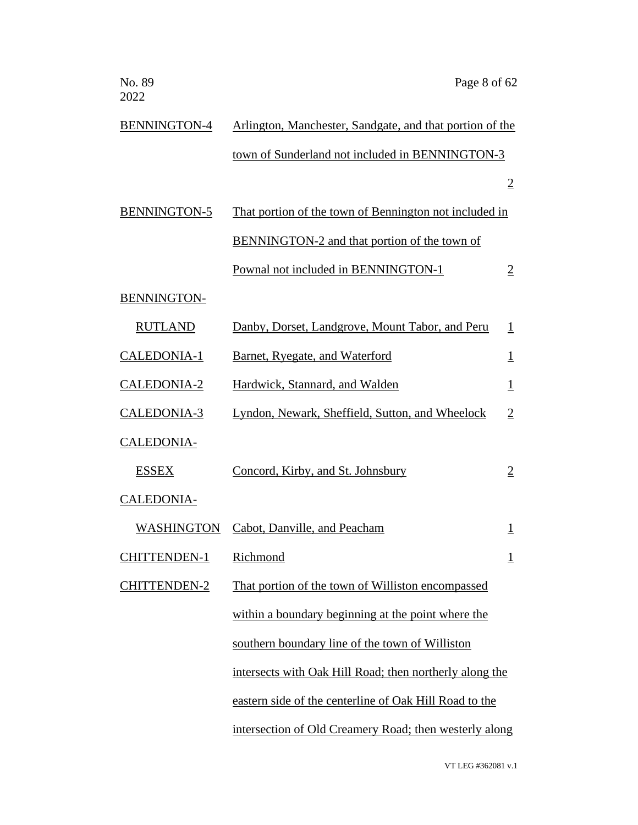| No. 89<br>2022      | Page 8 of 62                                             |                         |
|---------------------|----------------------------------------------------------|-------------------------|
| BENNINGTON-4        | Arlington, Manchester, Sandgate, and that portion of the |                         |
|                     | town of Sunderland not included in BENNINGTON-3          |                         |
|                     |                                                          | $\overline{2}$          |
| <b>BENNINGTON-5</b> | That portion of the town of Bennington not included in   |                         |
|                     | BENNINGTON-2 and that portion of the town of             |                         |
|                     | Pownal not included in BENNINGTON-1                      | $\overline{2}$          |
| <b>BENNINGTON-</b>  |                                                          |                         |
| <b>RUTLAND</b>      | Danby, Dorset, Landgrove, Mount Tabor, and Peru          | $\mathbf{1}$            |
| <b>CALEDONIA-1</b>  | Barnet, Ryegate, and Waterford                           | $\overline{\mathbf{1}}$ |
| <b>CALEDONIA-2</b>  | Hardwick, Stannard, and Walden                           | $\perp$                 |
| CALEDONIA-3         | Lyndon, Newark, Sheffield, Sutton, and Wheelock          | $\overline{2}$          |
| <b>CALEDONIA-</b>   |                                                          |                         |
| <b>ESSEX</b>        | Concord, Kirby, and St. Johnsbury                        | $\overline{2}$          |
| <b>CALEDONIA-</b>   |                                                          |                         |
| <b>WASHINGTON</b>   | Cabot, Danville, and Peacham                             | $\perp$                 |
| <b>CHITTENDEN-1</b> | Richmond                                                 | $\overline{1}$          |
| <b>CHITTENDEN-2</b> | That portion of the town of Williston encompassed        |                         |
|                     | within a boundary beginning at the point where the       |                         |
|                     | southern boundary line of the town of Williston          |                         |
|                     | intersects with Oak Hill Road; then northerly along the  |                         |
|                     | eastern side of the centerline of Oak Hill Road to the   |                         |
|                     | intersection of Old Creamery Road; then westerly along   |                         |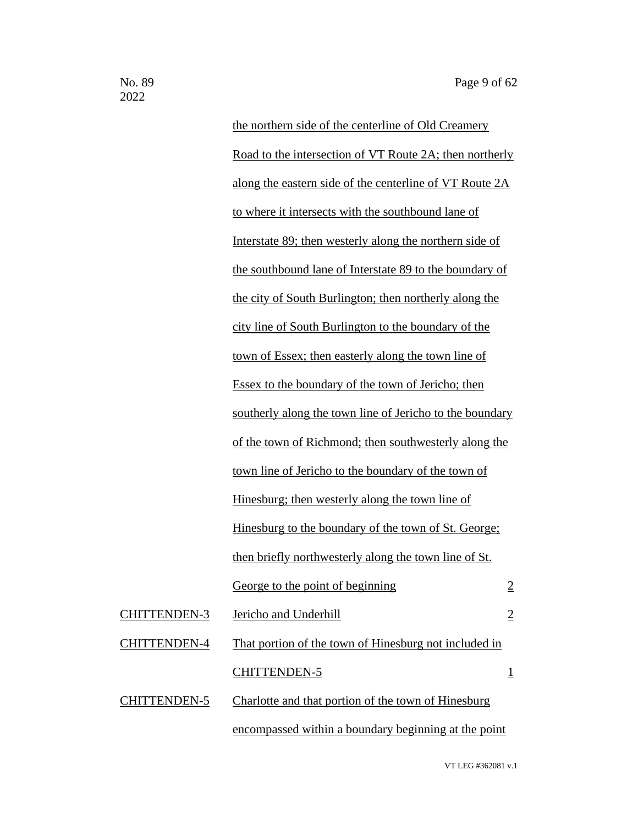the northern side of the centerline of Old Creamery Road to the intersection of VT Route 2A; then northerly along the eastern side of the centerline of VT Route 2A to where it intersects with the southbound lane of Interstate 89; then westerly along the northern side of the southbound lane of Interstate 89 to the boundary of the city of South Burlington; then northerly along the city line of South Burlington to the boundary of the town of Essex; then easterly along the town line of Essex to the boundary of the town of Jericho; then southerly along the town line of Jericho to the boundary of the town of Richmond; then southwesterly along the town line of Jericho to the boundary of the town of Hinesburg; then westerly along the town line of Hinesburg to the boundary of the town of St. George; then briefly northwesterly along the town line of St. George to the point of beginning 2 CHITTENDEN-3 Jericho and Underhill 2 CHITTENDEN-4 That portion of the town of Hinesburg not included in CHITTENDEN-5 1 CHITTENDEN-5 Charlotte and that portion of the town of Hinesburg encompassed within a boundary beginning at the point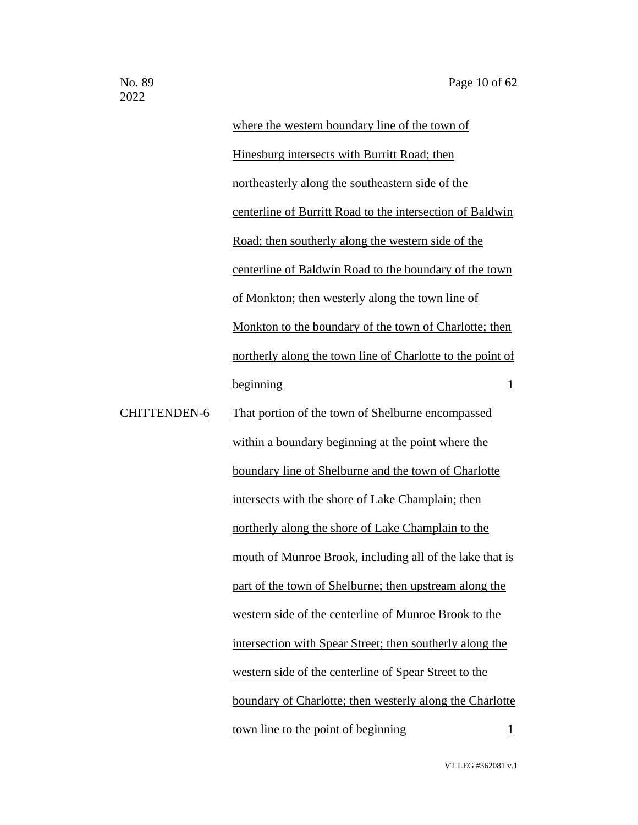where the western boundary line of the town of Hinesburg intersects with Burritt Road; then northeasterly along the southeastern side of the centerline of Burritt Road to the intersection of Baldwin Road; then southerly along the western side of the centerline of Baldwin Road to the boundary of the town of Monkton; then westerly along the town line of Monkton to the boundary of the town of Charlotte; then northerly along the town line of Charlotte to the point of beginning 1 CHITTENDEN-6 That portion of the town of Shelburne encompassed within a boundary beginning at the point where the boundary line of Shelburne and the town of Charlotte intersects with the shore of Lake Champlain; then northerly along the shore of Lake Champlain to the mouth of Munroe Brook, including all of the lake that is part of the town of Shelburne; then upstream along the western side of the centerline of Munroe Brook to the intersection with Spear Street; then southerly along the western side of the centerline of Spear Street to the boundary of Charlotte; then westerly along the Charlotte town line to the point of beginning  $1$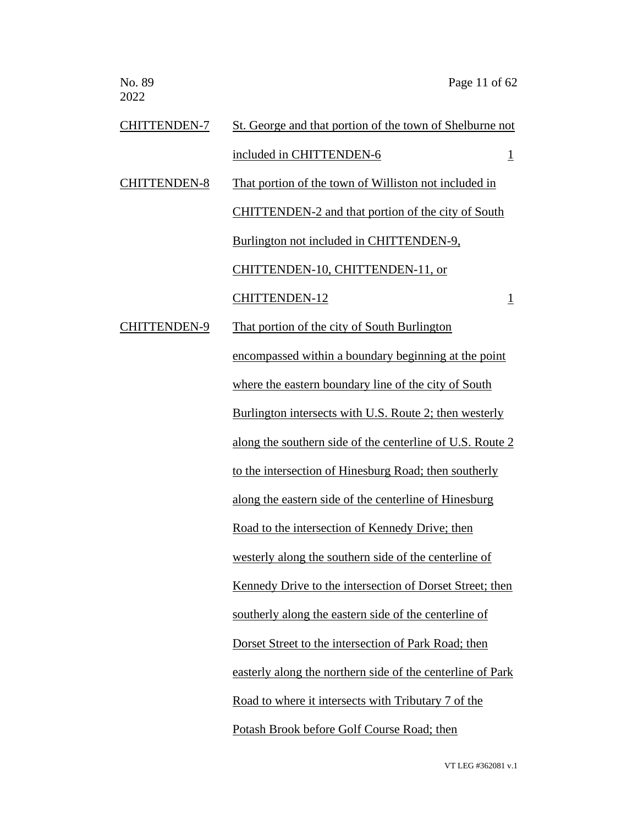| <b>CHITTENDEN-7</b> | St. George and that portion of the town of Shelburne not   |  |
|---------------------|------------------------------------------------------------|--|
|                     | included in CHITTENDEN-6<br>$\overline{1}$                 |  |
| <b>CHITTENDEN-8</b> | That portion of the town of Williston not included in      |  |
|                     | <b>CHITTENDEN-2</b> and that portion of the city of South  |  |
|                     | Burlington not included in CHITTENDEN-9,                   |  |
|                     | CHITTENDEN-10, CHITTENDEN-11, or                           |  |
|                     | <b>CHITTENDEN-12</b><br>$\overline{\mathbf{1}}$            |  |
| <b>CHITTENDEN-9</b> | That portion of the city of South Burlington               |  |
|                     | encompassed within a boundary beginning at the point       |  |
|                     | where the eastern boundary line of the city of South       |  |
|                     | Burlington intersects with U.S. Route 2; then westerly     |  |
|                     | along the southern side of the centerline of U.S. Route 2  |  |
|                     | to the intersection of Hinesburg Road; then southerly      |  |
|                     | along the eastern side of the centerline of Hinesburg      |  |
|                     | Road to the intersection of Kennedy Drive; then            |  |
|                     | westerly along the southern side of the centerline of      |  |
|                     | Kennedy Drive to the intersection of Dorset Street; then   |  |
|                     | southerly along the eastern side of the centerline of      |  |
|                     | Dorset Street to the intersection of Park Road; then       |  |
|                     | easterly along the northern side of the centerline of Park |  |
|                     | Road to where it intersects with Tributary 7 of the        |  |
|                     | Potash Brook before Golf Course Road; then                 |  |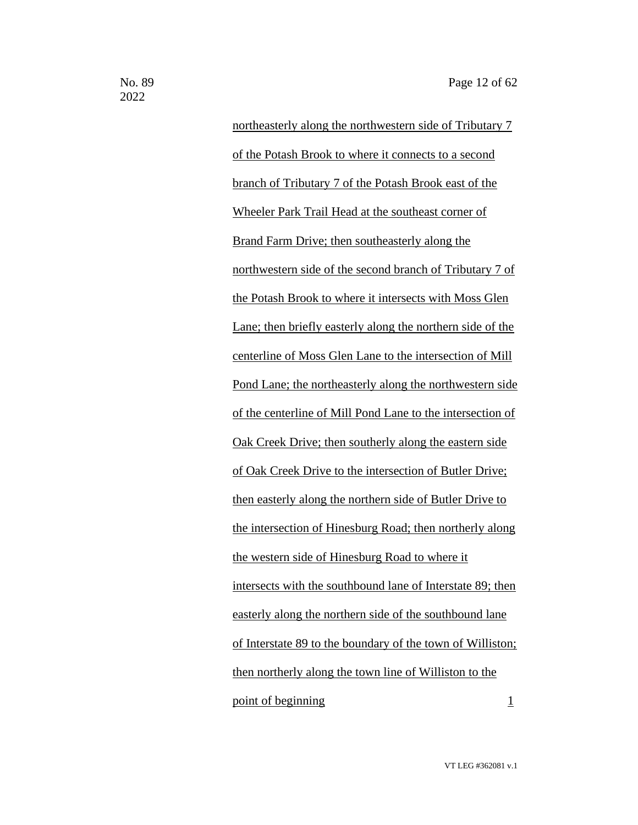northeasterly along the northwestern side of Tributary 7 of the Potash Brook to where it connects to a second branch of Tributary 7 of the Potash Brook east of the Wheeler Park Trail Head at the southeast corner of Brand Farm Drive; then southeasterly along the northwestern side of the second branch of Tributary 7 of the Potash Brook to where it intersects with Moss Glen Lane; then briefly easterly along the northern side of the centerline of Moss Glen Lane to the intersection of Mill Pond Lane; the northeasterly along the northwestern side of the centerline of Mill Pond Lane to the intersection of Oak Creek Drive; then southerly along the eastern side of Oak Creek Drive to the intersection of Butler Drive; then easterly along the northern side of Butler Drive to the intersection of Hinesburg Road; then northerly along the western side of Hinesburg Road to where it intersects with the southbound lane of Interstate 89; then easterly along the northern side of the southbound lane of Interstate 89 to the boundary of the town of Williston; then northerly along the town line of Williston to the point of beginning 1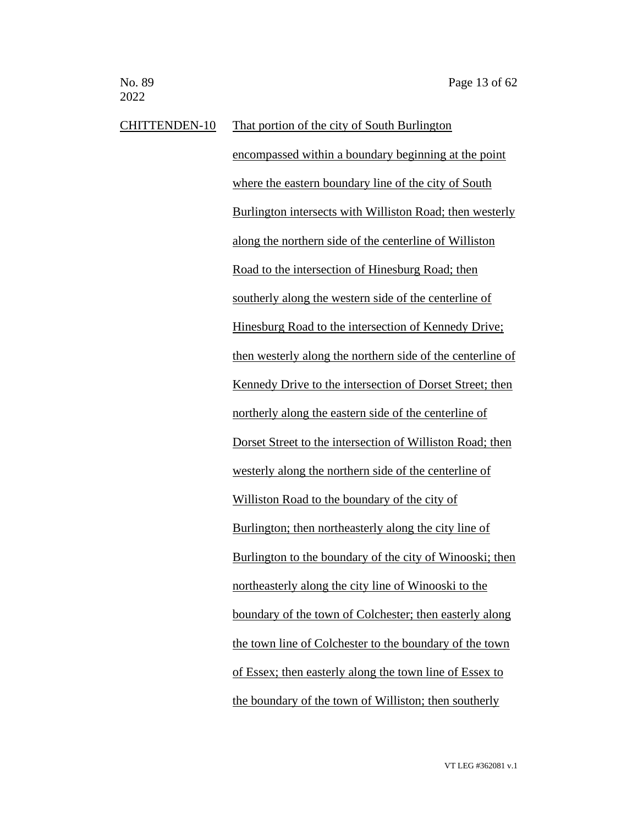CHITTENDEN-10 That portion of the city of South Burlington encompassed within a boundary beginning at the point where the eastern boundary line of the city of South Burlington intersects with Williston Road; then westerly along the northern side of the centerline of Williston Road to the intersection of Hinesburg Road; then southerly along the western side of the centerline of Hinesburg Road to the intersection of Kennedy Drive; then westerly along the northern side of the centerline of Kennedy Drive to the intersection of Dorset Street; then northerly along the eastern side of the centerline of Dorset Street to the intersection of Williston Road; then westerly along the northern side of the centerline of Williston Road to the boundary of the city of Burlington; then northeasterly along the city line of Burlington to the boundary of the city of Winooski; then northeasterly along the city line of Winooski to the boundary of the town of Colchester; then easterly along the town line of Colchester to the boundary of the town of Essex; then easterly along the town line of Essex to the boundary of the town of Williston; then southerly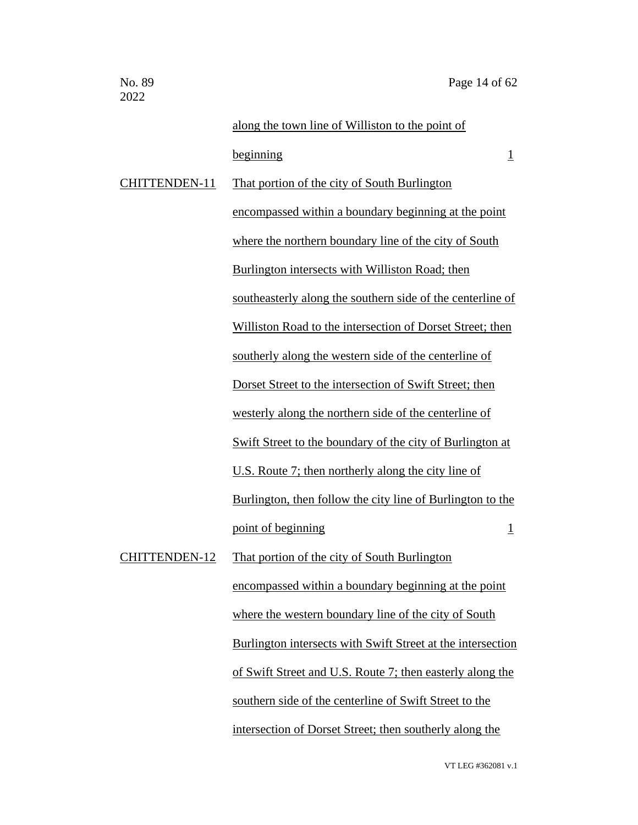|                      | along the town line of Williston to the point of            |
|----------------------|-------------------------------------------------------------|
|                      | beginning<br>$\overline{1}$                                 |
| <b>CHITTENDEN-11</b> | That portion of the city of South Burlington                |
|                      | encompassed within a boundary beginning at the point        |
|                      | where the northern boundary line of the city of South       |
|                      | Burlington intersects with Williston Road; then             |
|                      | southeasterly along the southern side of the centerline of  |
|                      | Williston Road to the intersection of Dorset Street; then   |
|                      | southerly along the western side of the centerline of       |
|                      | Dorset Street to the intersection of Swift Street; then     |
|                      | westerly along the northern side of the centerline of       |
|                      | Swift Street to the boundary of the city of Burlington at   |
|                      | U.S. Route 7; then northerly along the city line of         |
|                      | Burlington, then follow the city line of Burlington to the  |
|                      | point of beginning<br>$\overline{1}$                        |
| <b>CHITTENDEN-12</b> | That portion of the city of South Burlington                |
|                      | encompassed within a boundary beginning at the point        |
|                      | where the western boundary line of the city of South        |
|                      | Burlington intersects with Swift Street at the intersection |
|                      | of Swift Street and U.S. Route 7; then easterly along the   |
|                      | southern side of the centerline of Swift Street to the      |
|                      | intersection of Dorset Street; then southerly along the     |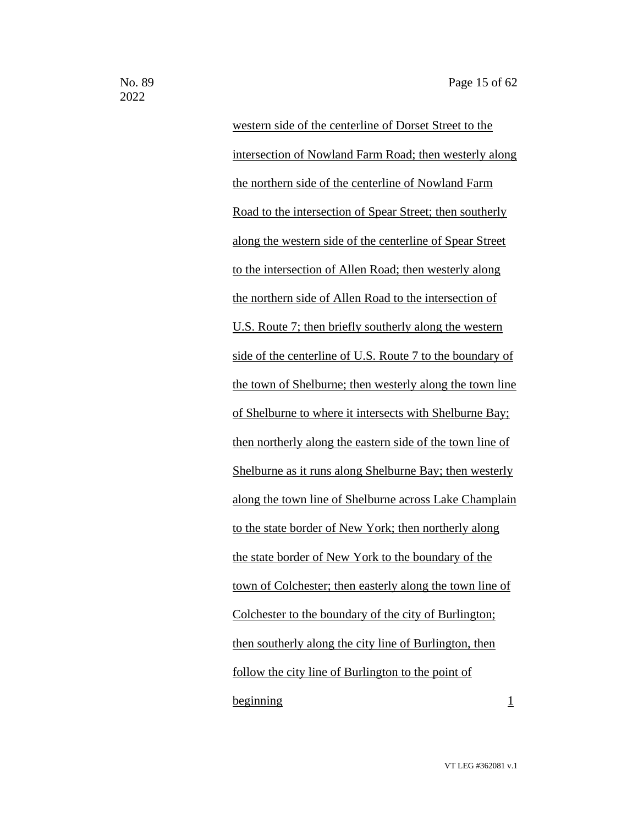western side of the centerline of Dorset Street to the intersection of Nowland Farm Road; then westerly along the northern side of the centerline of Nowland Farm Road to the intersection of Spear Street; then southerly along the western side of the centerline of Spear Street to the intersection of Allen Road; then westerly along the northern side of Allen Road to the intersection of U.S. Route 7; then briefly southerly along the western side of the centerline of U.S. Route 7 to the boundary of the town of Shelburne; then westerly along the town line of Shelburne to where it intersects with Shelburne Bay; then northerly along the eastern side of the town line of Shelburne as it runs along Shelburne Bay; then westerly along the town line of Shelburne across Lake Champlain to the state border of New York; then northerly along the state border of New York to the boundary of the town of Colchester; then easterly along the town line of Colchester to the boundary of the city of Burlington; then southerly along the city line of Burlington, then follow the city line of Burlington to the point of beginning 1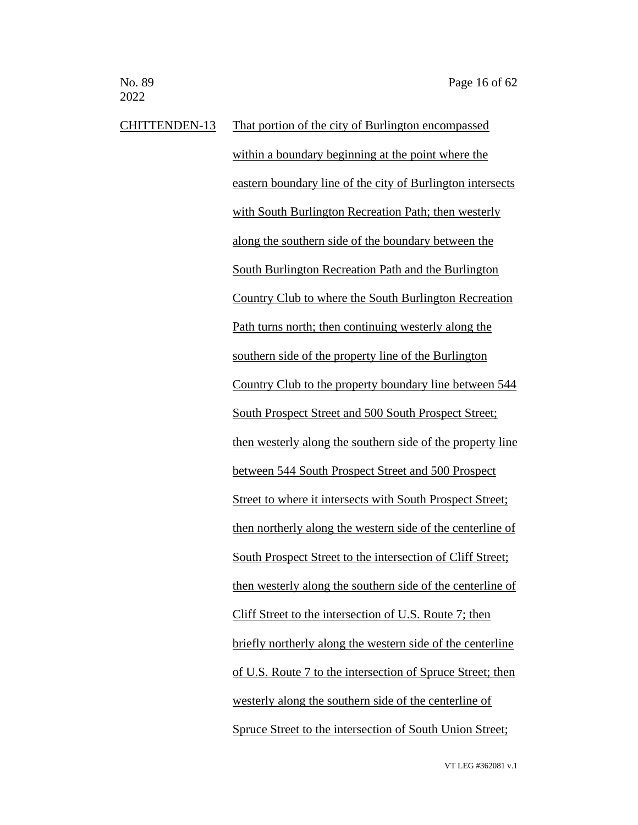CHITTENDEN-13 That portion of the city of Burlington encompassed within a boundary beginning at the point where the eastern boundary line of the city of Burlington intersects with South Burlington Recreation Path; then westerly along the southern side of the boundary between the South Burlington Recreation Path and the Burlington Country Club to where the South Burlington Recreation Path turns north; then continuing westerly along the southern side of the property line of the Burlington Country Club to the property boundary line between 544 South Prospect Street and 500 South Prospect Street; then westerly along the southern side of the property line between 544 South Prospect Street and 500 Prospect Street to where it intersects with South Prospect Street; then northerly along the western side of the centerline of South Prospect Street to the intersection of Cliff Street; then westerly along the southern side of the centerline of Cliff Street to the intersection of U.S. Route 7; then briefly northerly along the western side of the centerline of U.S. Route 7 to the intersection of Spruce Street; then westerly along the southern side of the centerline of Spruce Street to the intersection of South Union Street;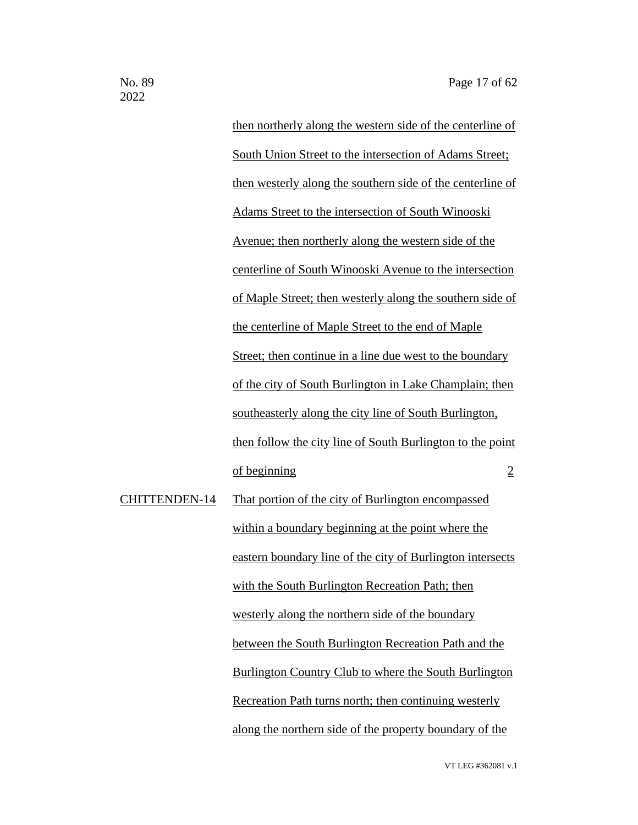then northerly along the western side of the centerline of South Union Street to the intersection of Adams Street; then westerly along the southern side of the centerline of Adams Street to the intersection of South Winooski Avenue; then northerly along the western side of the centerline of South Winooski Avenue to the intersection of Maple Street; then westerly along the southern side of the centerline of Maple Street to the end of Maple Street; then continue in a line due west to the boundary of the city of South Burlington in Lake Champlain; then southeasterly along the city line of South Burlington, then follow the city line of South Burlington to the point of beginning 2 CHITTENDEN-14 That portion of the city of Burlington encompassed within a boundary beginning at the point where the eastern boundary line of the city of Burlington intersects with the South Burlington Recreation Path; then westerly along the northern side of the boundary between the South Burlington Recreation Path and the Burlington Country Club to where the South Burlington

Recreation Path turns north; then continuing westerly

along the northern side of the property boundary of the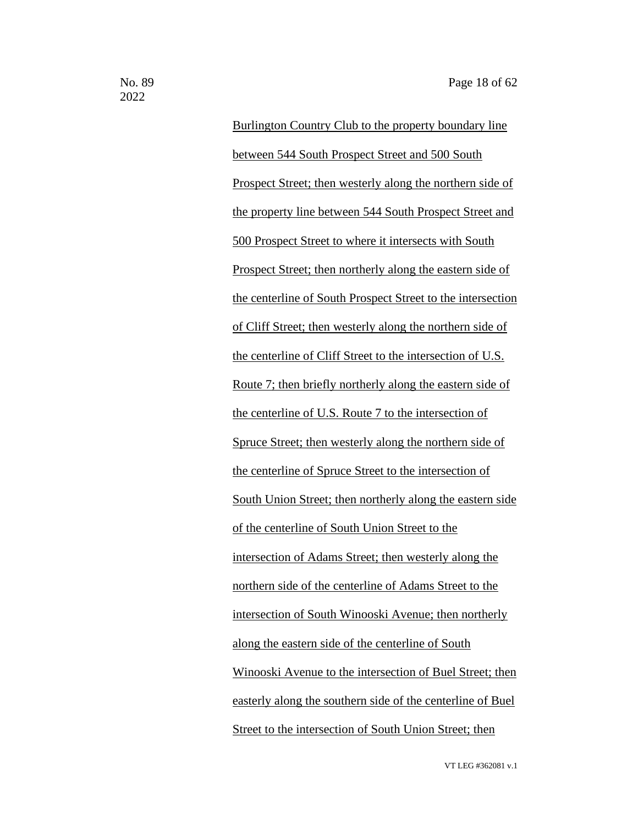Burlington Country Club to the property boundary line between 544 South Prospect Street and 500 South Prospect Street; then westerly along the northern side of the property line between 544 South Prospect Street and 500 Prospect Street to where it intersects with South Prospect Street; then northerly along the eastern side of the centerline of South Prospect Street to the intersection of Cliff Street; then westerly along the northern side of the centerline of Cliff Street to the intersection of U.S. Route 7; then briefly northerly along the eastern side of the centerline of U.S. Route 7 to the intersection of Spruce Street; then westerly along the northern side of the centerline of Spruce Street to the intersection of South Union Street; then northerly along the eastern side of the centerline of South Union Street to the intersection of Adams Street; then westerly along the northern side of the centerline of Adams Street to the intersection of South Winooski Avenue; then northerly along the eastern side of the centerline of South Winooski Avenue to the intersection of Buel Street; then easterly along the southern side of the centerline of Buel Street to the intersection of South Union Street; then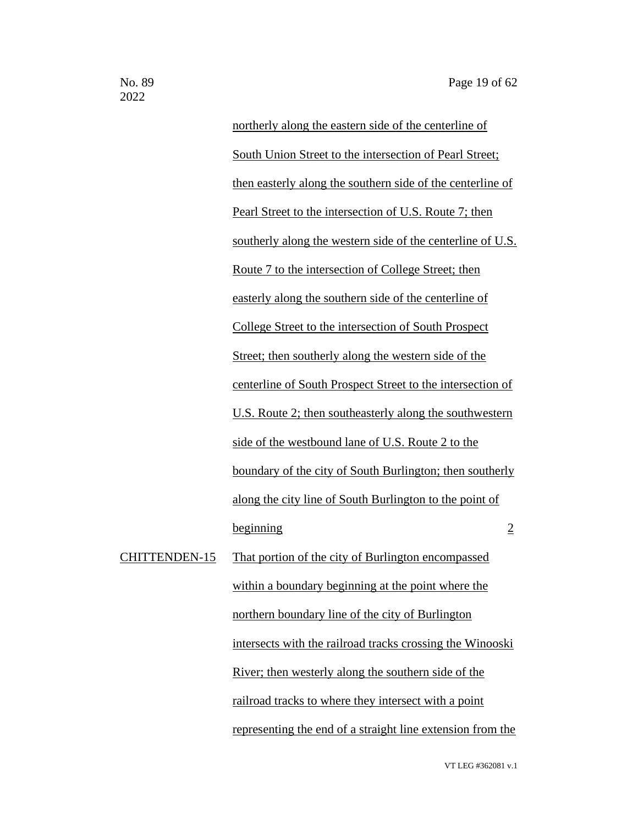northerly along the eastern side of the centerline of South Union Street to the intersection of Pearl Street; then easterly along the southern side of the centerline of Pearl Street to the intersection of U.S. Route 7; then southerly along the western side of the centerline of U.S. Route 7 to the intersection of College Street; then easterly along the southern side of the centerline of College Street to the intersection of South Prospect Street; then southerly along the western side of the centerline of South Prospect Street to the intersection of U.S. Route 2; then southeasterly along the southwestern side of the westbound lane of U.S. Route 2 to the boundary of the city of South Burlington; then southerly along the city line of South Burlington to the point of beginning 2 CHITTENDEN-15 That portion of the city of Burlington encompassed within a boundary beginning at the point where the northern boundary line of the city of Burlington intersects with the railroad tracks crossing the Winooski River; then westerly along the southern side of the railroad tracks to where they intersect with a point representing the end of a straight line extension from the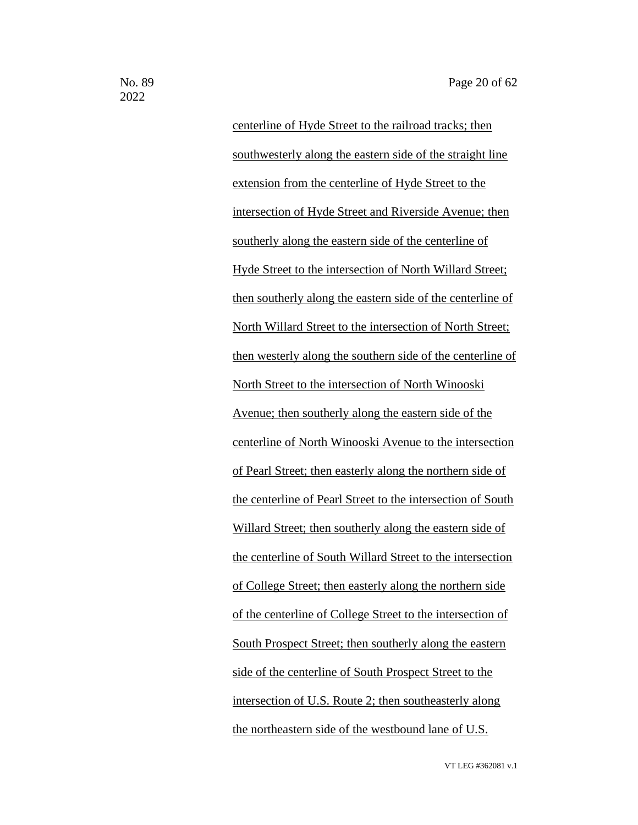centerline of Hyde Street to the railroad tracks; then southwesterly along the eastern side of the straight line extension from the centerline of Hyde Street to the intersection of Hyde Street and Riverside Avenue; then southerly along the eastern side of the centerline of Hyde Street to the intersection of North Willard Street; then southerly along the eastern side of the centerline of North Willard Street to the intersection of North Street; then westerly along the southern side of the centerline of North Street to the intersection of North Winooski Avenue; then southerly along the eastern side of the centerline of North Winooski Avenue to the intersection of Pearl Street; then easterly along the northern side of the centerline of Pearl Street to the intersection of South Willard Street; then southerly along the eastern side of the centerline of South Willard Street to the intersection of College Street; then easterly along the northern side of the centerline of College Street to the intersection of South Prospect Street; then southerly along the eastern side of the centerline of South Prospect Street to the intersection of U.S. Route 2; then southeasterly along the northeastern side of the westbound lane of U.S.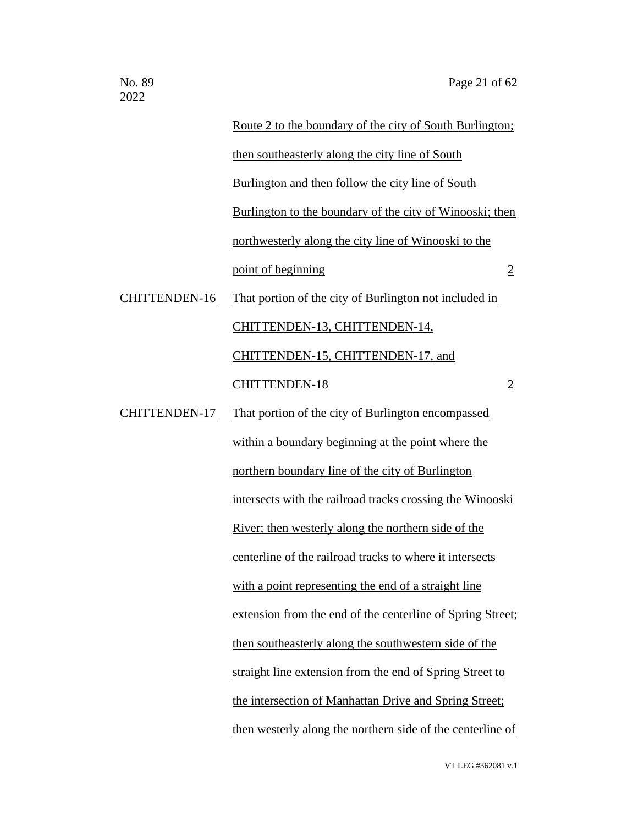|                      | Route 2 to the boundary of the city of South Burlington;    |                |
|----------------------|-------------------------------------------------------------|----------------|
|                      | then southeasterly along the city line of South             |                |
|                      | Burlington and then follow the city line of South           |                |
|                      | Burlington to the boundary of the city of Winooski; then    |                |
|                      | northwesterly along the city line of Winooski to the        |                |
|                      | point of beginning                                          | $\overline{2}$ |
| <b>CHITTENDEN-16</b> | That portion of the city of Burlington not included in      |                |
|                      | CHITTENDEN-13, CHITTENDEN-14,                               |                |
|                      | CHITTENDEN-15, CHITTENDEN-17, and                           |                |
|                      | <b>CHITTENDEN-18</b>                                        | $\overline{2}$ |
| <b>CHITTENDEN-17</b> | That portion of the city of Burlington encompassed          |                |
|                      | within a boundary beginning at the point where the          |                |
|                      | northern boundary line of the city of Burlington            |                |
|                      | intersects with the railroad tracks crossing the Winooski   |                |
|                      | <u>River</u> ; then westerly along the northern side of the |                |
|                      | centerline of the railroad tracks to where it intersects    |                |
|                      | with a point representing the end of a straight line        |                |
|                      | extension from the end of the centerline of Spring Street;  |                |
|                      | then southeasterly along the southwestern side of the       |                |
|                      | straight line extension from the end of Spring Street to    |                |
|                      | the intersection of Manhattan Drive and Spring Street;      |                |
|                      | then westerly along the northern side of the centerline of  |                |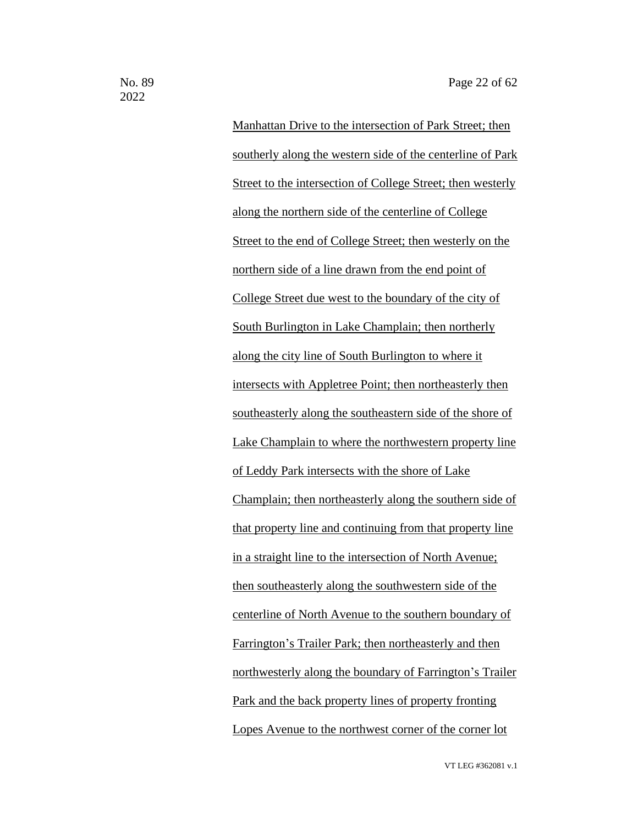Manhattan Drive to the intersection of Park Street; then southerly along the western side of the centerline of Park Street to the intersection of College Street; then westerly along the northern side of the centerline of College Street to the end of College Street; then westerly on the northern side of a line drawn from the end point of College Street due west to the boundary of the city of South Burlington in Lake Champlain; then northerly along the city line of South Burlington to where it intersects with Appletree Point; then northeasterly then southeasterly along the southeastern side of the shore of Lake Champlain to where the northwestern property line of Leddy Park intersects with the shore of Lake Champlain; then northeasterly along the southern side of that property line and continuing from that property line in a straight line to the intersection of North Avenue; then southeasterly along the southwestern side of the centerline of North Avenue to the southern boundary of Farrington's Trailer Park; then northeasterly and then northwesterly along the boundary of Farrington's Trailer Park and the back property lines of property fronting Lopes Avenue to the northwest corner of the corner lot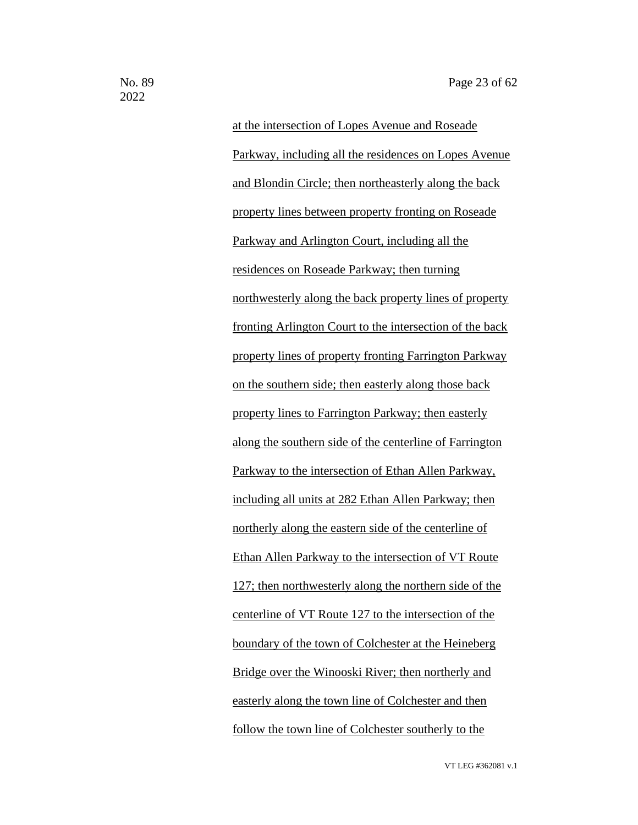at the intersection of Lopes Avenue and Roseade Parkway, including all the residences on Lopes Avenue and Blondin Circle; then northeasterly along the back property lines between property fronting on Roseade Parkway and Arlington Court, including all the residences on Roseade Parkway; then turning northwesterly along the back property lines of property fronting Arlington Court to the intersection of the back property lines of property fronting Farrington Parkway on the southern side; then easterly along those back property lines to Farrington Parkway; then easterly along the southern side of the centerline of Farrington Parkway to the intersection of Ethan Allen Parkway, including all units at 282 Ethan Allen Parkway; then northerly along the eastern side of the centerline of Ethan Allen Parkway to the intersection of VT Route 127; then northwesterly along the northern side of the centerline of VT Route 127 to the intersection of the boundary of the town of Colchester at the Heineberg Bridge over the Winooski River; then northerly and easterly along the town line of Colchester and then follow the town line of Colchester southerly to the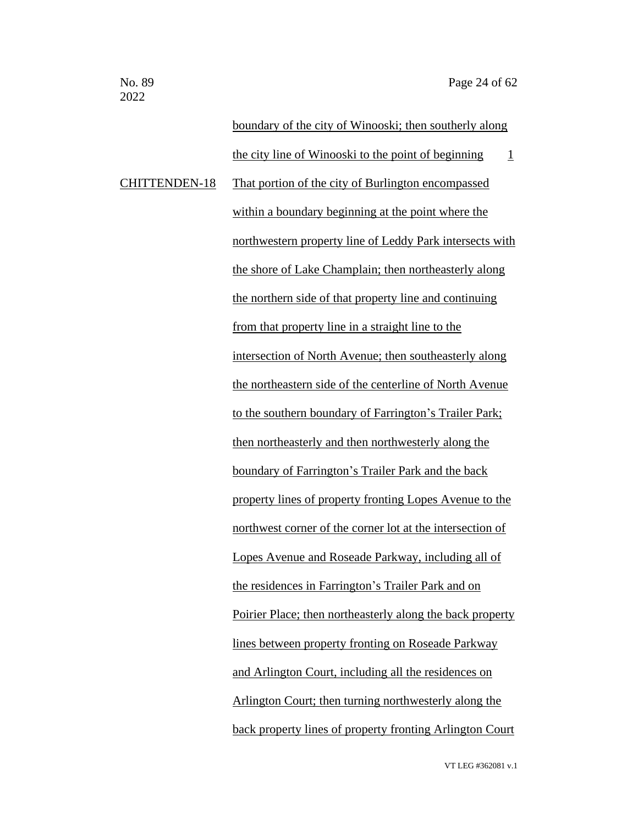boundary of the city of Winooski; then southerly along the city line of Winooski to the point of beginning  $1$ CHITTENDEN-18 That portion of the city of Burlington encompassed within a boundary beginning at the point where the northwestern property line of Leddy Park intersects with the shore of Lake Champlain; then northeasterly along the northern side of that property line and continuing from that property line in a straight line to the intersection of North Avenue; then southeasterly along the northeastern side of the centerline of North Avenue to the southern boundary of Farrington's Trailer Park; then northeasterly and then northwesterly along the boundary of Farrington's Trailer Park and the back property lines of property fronting Lopes Avenue to the northwest corner of the corner lot at the intersection of Lopes Avenue and Roseade Parkway, including all of the residences in Farrington's Trailer Park and on Poirier Place; then northeasterly along the back property lines between property fronting on Roseade Parkway and Arlington Court, including all the residences on Arlington Court; then turning northwesterly along the back property lines of property fronting Arlington Court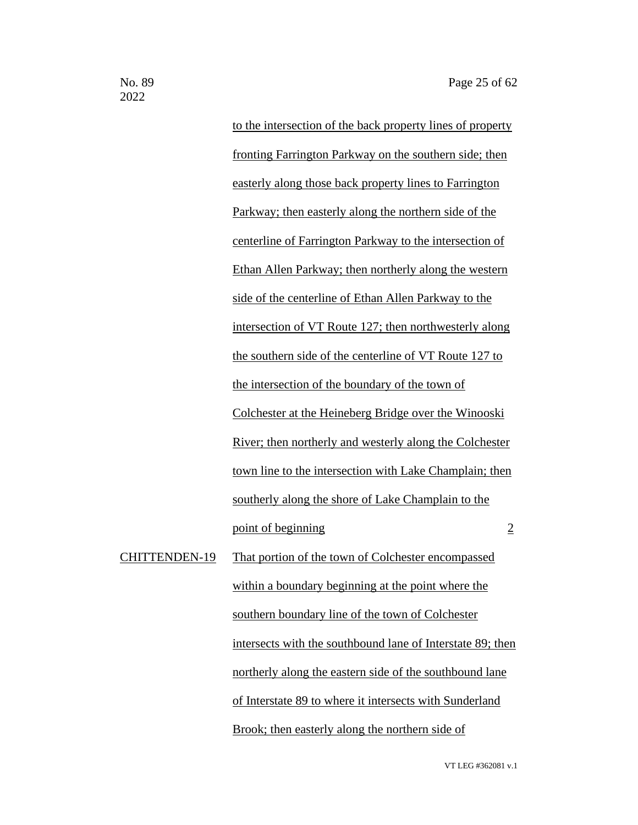to the intersection of the back property lines of property fronting Farrington Parkway on the southern side; then easterly along those back property lines to Farrington Parkway; then easterly along the northern side of the centerline of Farrington Parkway to the intersection of Ethan Allen Parkway; then northerly along the western side of the centerline of Ethan Allen Parkway to the intersection of VT Route 127; then northwesterly along the southern side of the centerline of VT Route 127 to the intersection of the boundary of the town of Colchester at the Heineberg Bridge over the Winooski River; then northerly and westerly along the Colchester town line to the intersection with Lake Champlain; then southerly along the shore of Lake Champlain to the point of beginning 2 CHITTENDEN-19 That portion of the town of Colchester encompassed within a boundary beginning at the point where the southern boundary line of the town of Colchester intersects with the southbound lane of Interstate 89; then northerly along the eastern side of the southbound lane of Interstate 89 to where it intersects with Sunderland Brook; then easterly along the northern side of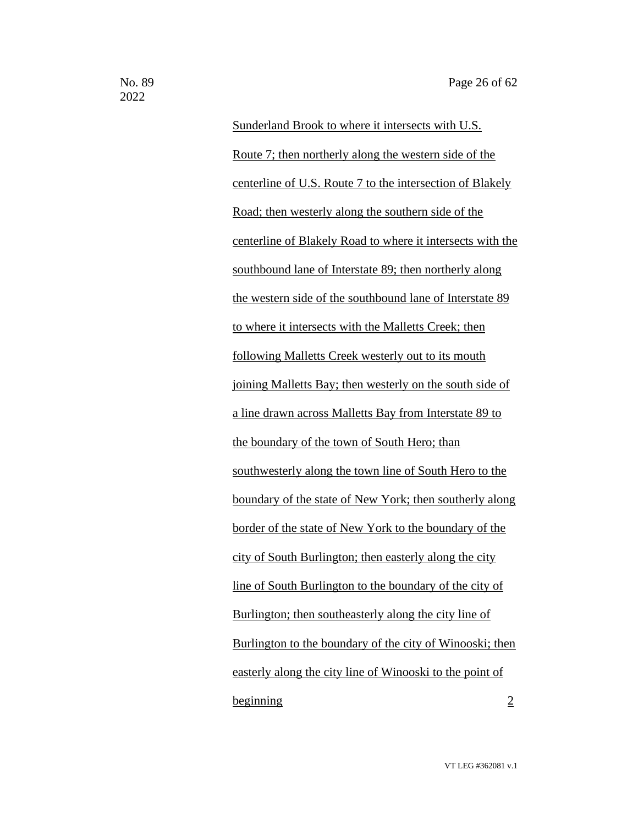Sunderland Brook to where it intersects with U.S. Route 7; then northerly along the western side of the centerline of U.S. Route 7 to the intersection of Blakely Road; then westerly along the southern side of the centerline of Blakely Road to where it intersects with the southbound lane of Interstate 89; then northerly along the western side of the southbound lane of Interstate 89 to where it intersects with the Malletts Creek; then following Malletts Creek westerly out to its mouth joining Malletts Bay; then westerly on the south side of a line drawn across Malletts Bay from Interstate 89 to the boundary of the town of South Hero; than southwesterly along the town line of South Hero to the boundary of the state of New York; then southerly along border of the state of New York to the boundary of the city of South Burlington; then easterly along the city line of South Burlington to the boundary of the city of Burlington; then southeasterly along the city line of Burlington to the boundary of the city of Winooski; then easterly along the city line of Winooski to the point of beginning 2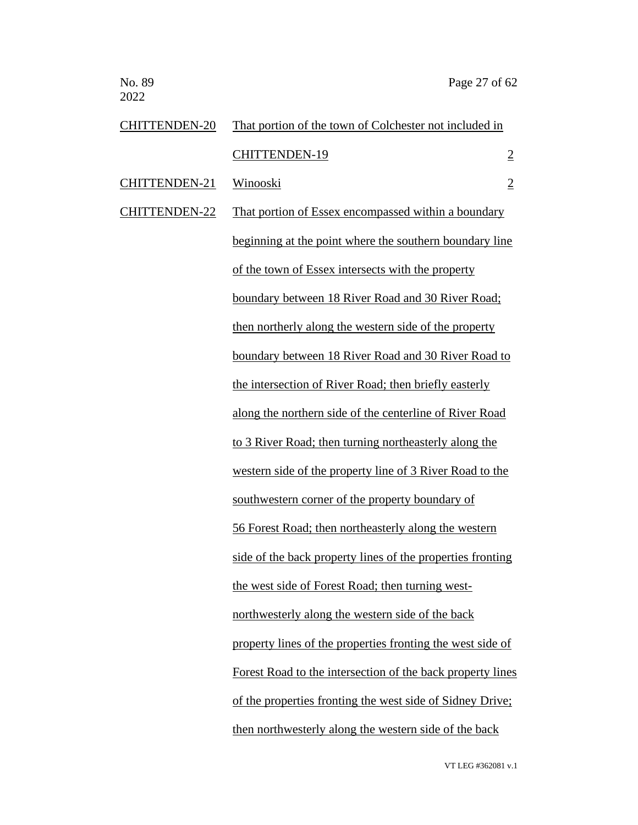| <b>CHITTENDEN-20</b> | That portion of the town of Colchester not included in     |                |
|----------------------|------------------------------------------------------------|----------------|
|                      | <b>CHITTENDEN-19</b>                                       | $\overline{2}$ |
| <b>CHITTENDEN-21</b> | Winooski                                                   | $\overline{2}$ |
| <b>CHITTENDEN-22</b> | That portion of Essex encompassed within a boundary        |                |
|                      | beginning at the point where the southern boundary line    |                |
|                      | of the town of Essex intersects with the property          |                |
|                      | boundary between 18 River Road and 30 River Road;          |                |
|                      | then northerly along the western side of the property      |                |
|                      | boundary between 18 River Road and 30 River Road to        |                |
|                      | the intersection of River Road; then briefly easterly      |                |
|                      | along the northern side of the centerline of River Road    |                |
|                      | to 3 River Road; then turning northeasterly along the      |                |
|                      | western side of the property line of 3 River Road to the   |                |
|                      | southwestern corner of the property boundary of            |                |
|                      | 56 Forest Road; then northeasterly along the western       |                |
|                      | side of the back property lines of the properties fronting |                |
|                      | the west side of Forest Road; then turning west-           |                |
|                      | northwesterly along the western side of the back           |                |
|                      | property lines of the properties fronting the west side of |                |
|                      | Forest Road to the intersection of the back property lines |                |
|                      | of the properties fronting the west side of Sidney Drive;  |                |
|                      | then northwesterly along the western side of the back      |                |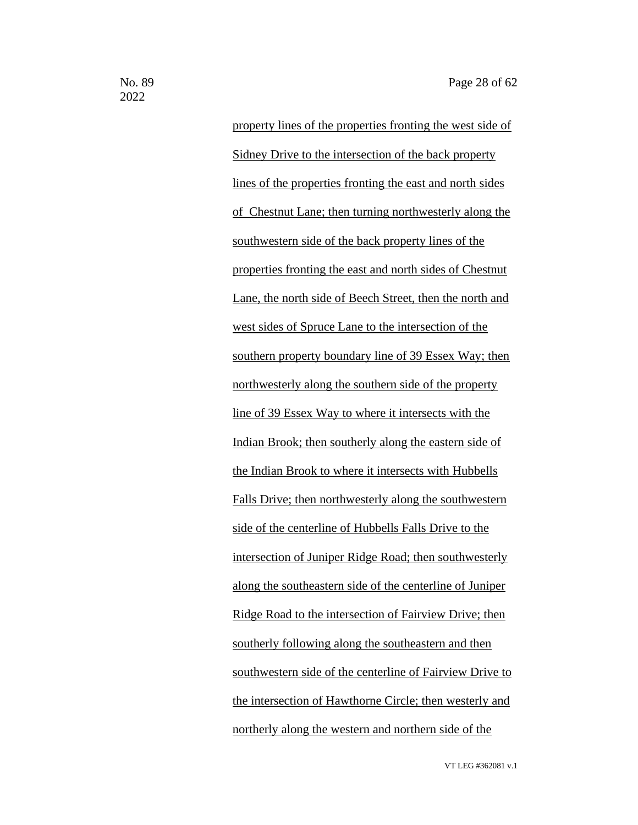property lines of the properties fronting the west side of Sidney Drive to the intersection of the back property lines of the properties fronting the east and north sides of Chestnut Lane; then turning northwesterly along the southwestern side of the back property lines of the properties fronting the east and north sides of Chestnut Lane, the north side of Beech Street, then the north and west sides of Spruce Lane to the intersection of the southern property boundary line of 39 Essex Way; then northwesterly along the southern side of the property line of 39 Essex Way to where it intersects with the Indian Brook; then southerly along the eastern side of the Indian Brook to where it intersects with Hubbells Falls Drive; then northwesterly along the southwestern side of the centerline of Hubbells Falls Drive to the intersection of Juniper Ridge Road; then southwesterly along the southeastern side of the centerline of Juniper Ridge Road to the intersection of Fairview Drive; then southerly following along the southeastern and then southwestern side of the centerline of Fairview Drive to the intersection of Hawthorne Circle; then westerly and northerly along the western and northern side of the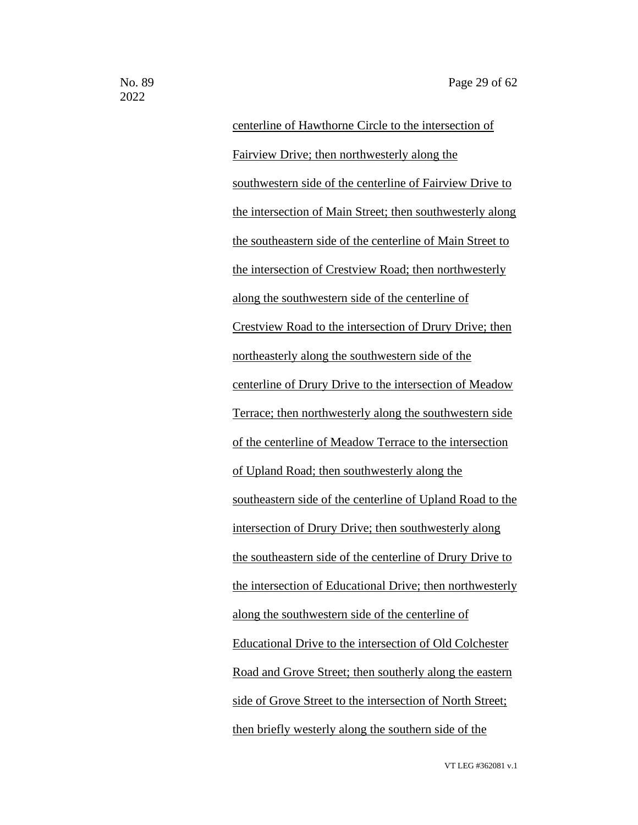centerline of Hawthorne Circle to the intersection of Fairview Drive; then northwesterly along the southwestern side of the centerline of Fairview Drive to the intersection of Main Street; then southwesterly along the southeastern side of the centerline of Main Street to the intersection of Crestview Road; then northwesterly along the southwestern side of the centerline of Crestview Road to the intersection of Drury Drive; then northeasterly along the southwestern side of the centerline of Drury Drive to the intersection of Meadow Terrace; then northwesterly along the southwestern side of the centerline of Meadow Terrace to the intersection of Upland Road; then southwesterly along the southeastern side of the centerline of Upland Road to the intersection of Drury Drive; then southwesterly along the southeastern side of the centerline of Drury Drive to the intersection of Educational Drive; then northwesterly along the southwestern side of the centerline of Educational Drive to the intersection of Old Colchester Road and Grove Street; then southerly along the eastern side of Grove Street to the intersection of North Street; then briefly westerly along the southern side of the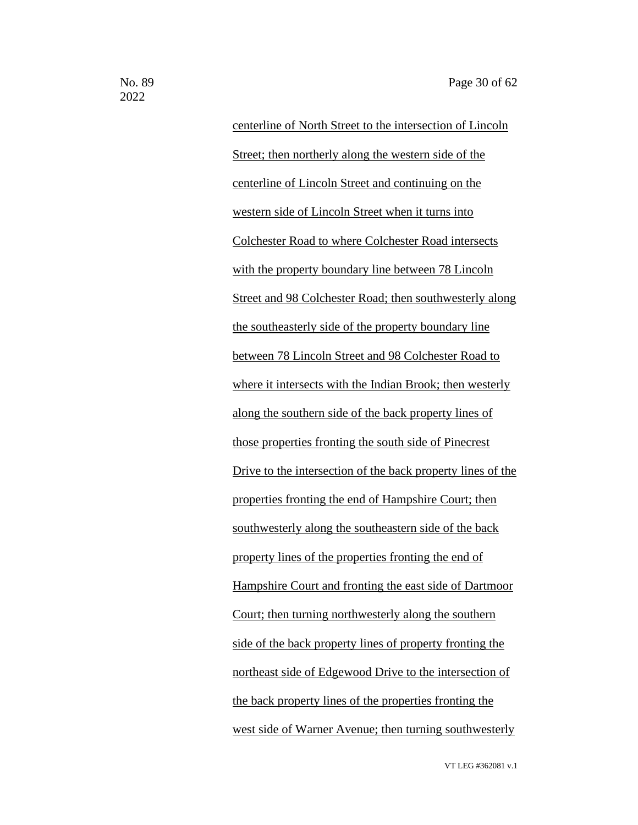centerline of North Street to the intersection of Lincoln Street; then northerly along the western side of the centerline of Lincoln Street and continuing on the western side of Lincoln Street when it turns into Colchester Road to where Colchester Road intersects with the property boundary line between 78 Lincoln Street and 98 Colchester Road; then southwesterly along the southeasterly side of the property boundary line between 78 Lincoln Street and 98 Colchester Road to where it intersects with the Indian Brook; then westerly along the southern side of the back property lines of those properties fronting the south side of Pinecrest Drive to the intersection of the back property lines of the properties fronting the end of Hampshire Court; then southwesterly along the southeastern side of the back property lines of the properties fronting the end of Hampshire Court and fronting the east side of Dartmoor Court; then turning northwesterly along the southern side of the back property lines of property fronting the northeast side of Edgewood Drive to the intersection of the back property lines of the properties fronting the west side of Warner Avenue; then turning southwesterly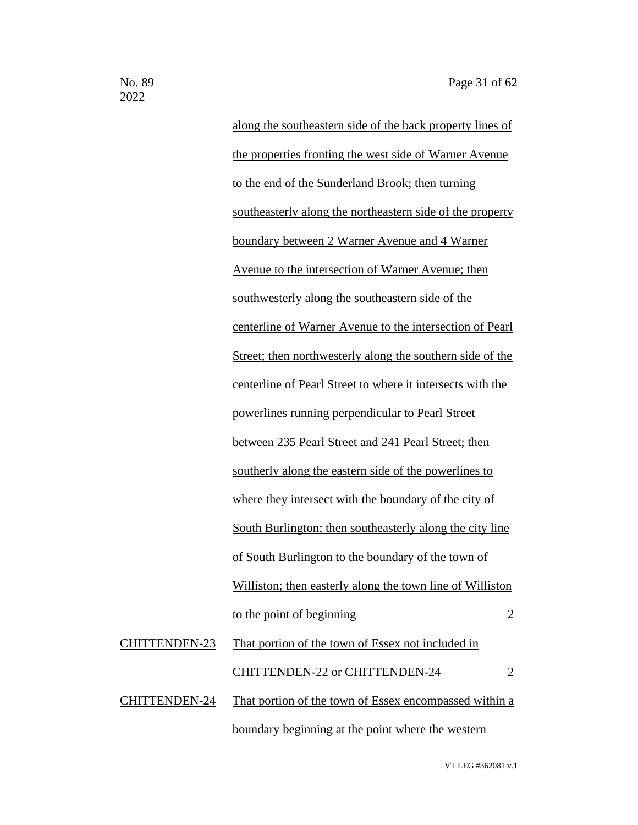along the southeastern side of the back property lines of the properties fronting the west side of Warner Avenue to the end of the Sunderland Brook; then turning southeasterly along the northeastern side of the property boundary between 2 Warner Avenue and 4 Warner Avenue to the intersection of Warner Avenue; then southwesterly along the southeastern side of the centerline of Warner Avenue to the intersection of Pearl Street; then northwesterly along the southern side of the centerline of Pearl Street to where it intersects with the powerlines running perpendicular to Pearl Street between 235 Pearl Street and 241 Pearl Street; then southerly along the eastern side of the powerlines to where they intersect with the boundary of the city of South Burlington; then southeasterly along the city line of South Burlington to the boundary of the town of Williston; then easterly along the town line of Williston to the point of beginning 2 CHITTENDEN-23 That portion of the town of Essex not included in CHITTENDEN-22 or CHITTENDEN-24 2 CHITTENDEN-24 That portion of the town of Essex encompassed within a boundary beginning at the point where the western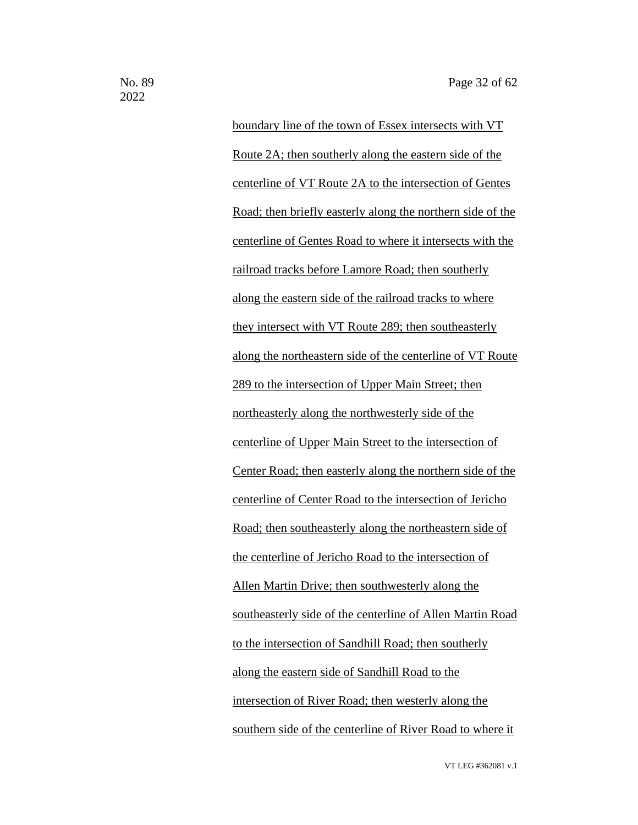boundary line of the town of Essex intersects with VT Route 2A; then southerly along the eastern side of the centerline of VT Route 2A to the intersection of Gentes Road; then briefly easterly along the northern side of the centerline of Gentes Road to where it intersects with the railroad tracks before Lamore Road; then southerly along the eastern side of the railroad tracks to where they intersect with VT Route 289; then southeasterly along the northeastern side of the centerline of VT Route 289 to the intersection of Upper Main Street; then northeasterly along the northwesterly side of the centerline of Upper Main Street to the intersection of Center Road; then easterly along the northern side of the centerline of Center Road to the intersection of Jericho Road; then southeasterly along the northeastern side of the centerline of Jericho Road to the intersection of Allen Martin Drive; then southwesterly along the southeasterly side of the centerline of Allen Martin Road to the intersection of Sandhill Road; then southerly along the eastern side of Sandhill Road to the intersection of River Road; then westerly along the southern side of the centerline of River Road to where it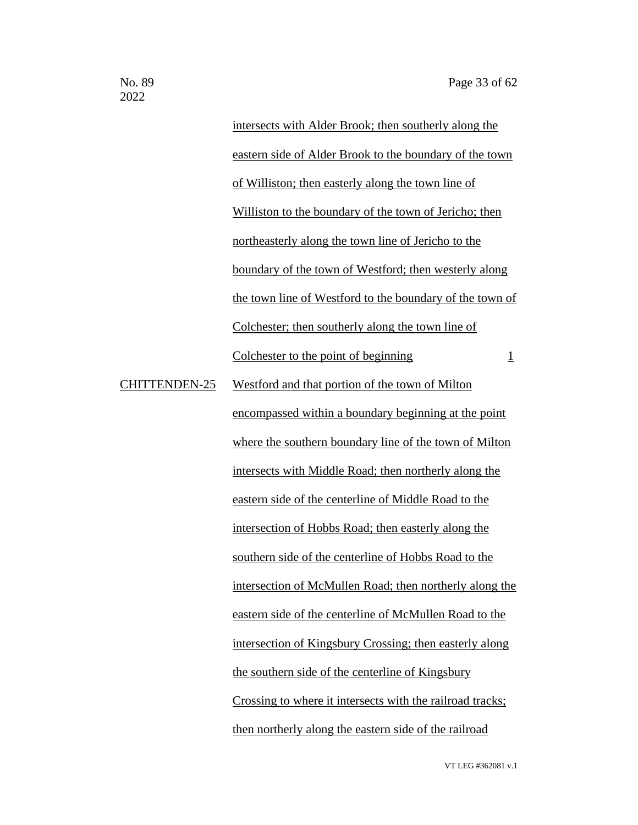intersects with Alder Brook; then southerly along the eastern side of Alder Brook to the boundary of the town of Williston; then easterly along the town line of Williston to the boundary of the town of Jericho; then northeasterly along the town line of Jericho to the boundary of the town of Westford; then westerly along the town line of Westford to the boundary of the town of Colchester; then southerly along the town line of Colchester to the point of beginning 1 CHITTENDEN-25 Westford and that portion of the town of Milton encompassed within a boundary beginning at the point where the southern boundary line of the town of Milton intersects with Middle Road; then northerly along the eastern side of the centerline of Middle Road to the intersection of Hobbs Road; then easterly along the southern side of the centerline of Hobbs Road to the intersection of McMullen Road; then northerly along the eastern side of the centerline of McMullen Road to the intersection of Kingsbury Crossing; then easterly along the southern side of the centerline of Kingsbury

Crossing to where it intersects with the railroad tracks;

then northerly along the eastern side of the railroad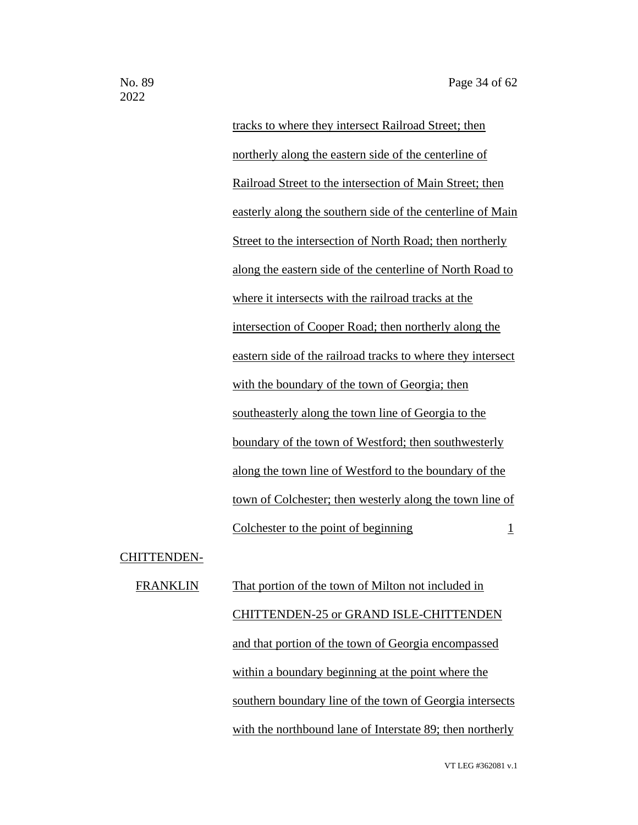tracks to where they intersect Railroad Street; then northerly along the eastern side of the centerline of Railroad Street to the intersection of Main Street; then easterly along the southern side of the centerline of Main Street to the intersection of North Road; then northerly along the eastern side of the centerline of North Road to where it intersects with the railroad tracks at the intersection of Cooper Road; then northerly along the eastern side of the railroad tracks to where they intersect with the boundary of the town of Georgia; then southeasterly along the town line of Georgia to the boundary of the town of Westford; then southwesterly along the town line of Westford to the boundary of the town of Colchester; then westerly along the town line of Colchester to the point of beginning 1

CHITTENDEN-

FRANKLIN That portion of the town of Milton not included in CHITTENDEN-25 or GRAND ISLE-CHITTENDEN and that portion of the town of Georgia encompassed within a boundary beginning at the point where the southern boundary line of the town of Georgia intersects with the northbound lane of Interstate 89; then northerly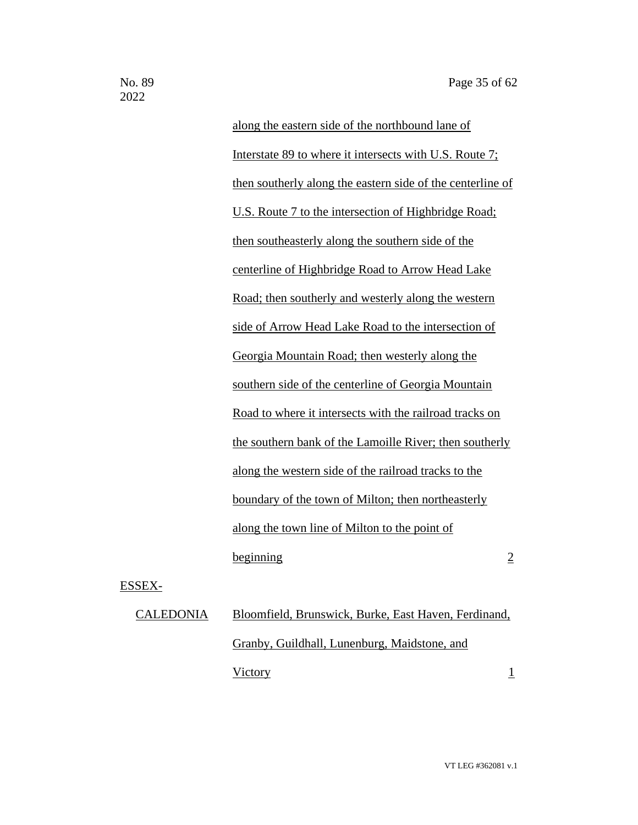along the eastern side of the northbound lane of Interstate 89 to where it intersects with U.S. Route 7; then southerly along the eastern side of the centerline of U.S. Route 7 to the intersection of Highbridge Road; then southeasterly along the southern side of the centerline of Highbridge Road to Arrow Head Lake Road; then southerly and westerly along the western side of Arrow Head Lake Road to the intersection of Georgia Mountain Road; then westerly along the southern side of the centerline of Georgia Mountain Road to where it intersects with the railroad tracks on the southern bank of the Lamoille River; then southerly along the western side of the railroad tracks to the boundary of the town of Milton; then northeasterly along the town line of Milton to the point of  $begin{array}{ccc} \hline \hline \hline 2 \end{array}$ 

ESSEX-

# CALEDONIA Bloomfield, Brunswick, Burke, East Haven, Ferdinand, Granby, Guildhall, Lunenburg, Maidstone, and Victory 1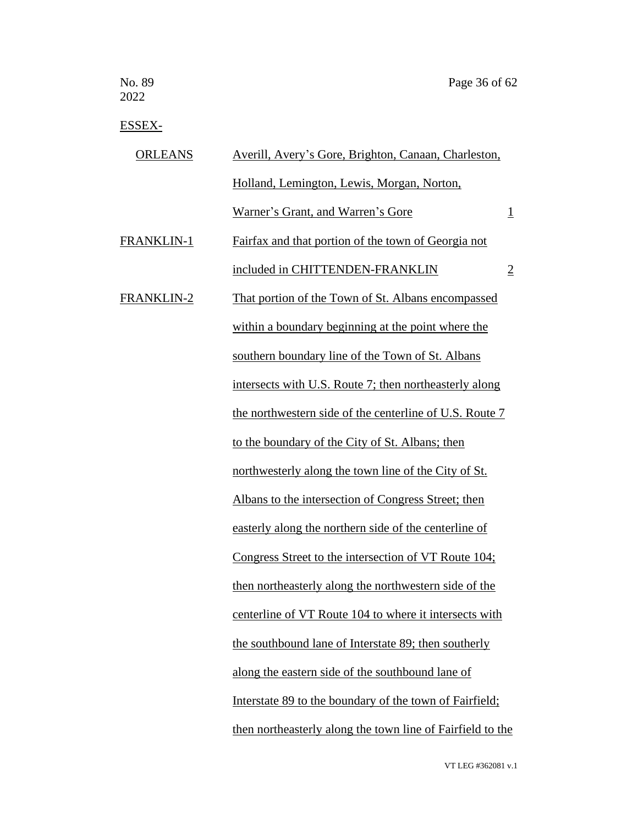ESSEX-

| <b>ORLEANS</b>    | Averill, Avery's Gore, Brighton, Canaan, Charleston,       |                |
|-------------------|------------------------------------------------------------|----------------|
|                   | Holland, Lemington, Lewis, Morgan, Norton,                 |                |
|                   | Warner's Grant, and Warren's Gore                          | $\overline{1}$ |
| FRANKLIN-1        | Fairfax and that portion of the town of Georgia not        |                |
|                   | included in CHITTENDEN-FRANKLIN                            | $\overline{2}$ |
| <b>FRANKLIN-2</b> | That portion of the Town of St. Albans encompassed         |                |
|                   | within a boundary beginning at the point where the         |                |
|                   | southern boundary line of the Town of St. Albans           |                |
|                   | intersects with U.S. Route 7; then northeasterly along     |                |
|                   | the northwestern side of the centerline of U.S. Route 7    |                |
|                   | to the boundary of the City of St. Albans; then            |                |
|                   | northwesterly along the town line of the City of St.       |                |
|                   | Albans to the intersection of Congress Street; then        |                |
|                   | easterly along the northern side of the centerline of      |                |
|                   | Congress Street to the intersection of VT Route 104;       |                |
|                   | then northeasterly along the northwestern side of the      |                |
|                   | centerline of VT Route 104 to where it intersects with     |                |
|                   | the southbound lane of Interstate 89; then southerly       |                |
|                   | along the eastern side of the southbound lane of           |                |
|                   | Interstate 89 to the boundary of the town of Fairfield;    |                |
|                   | then northeasterly along the town line of Fairfield to the |                |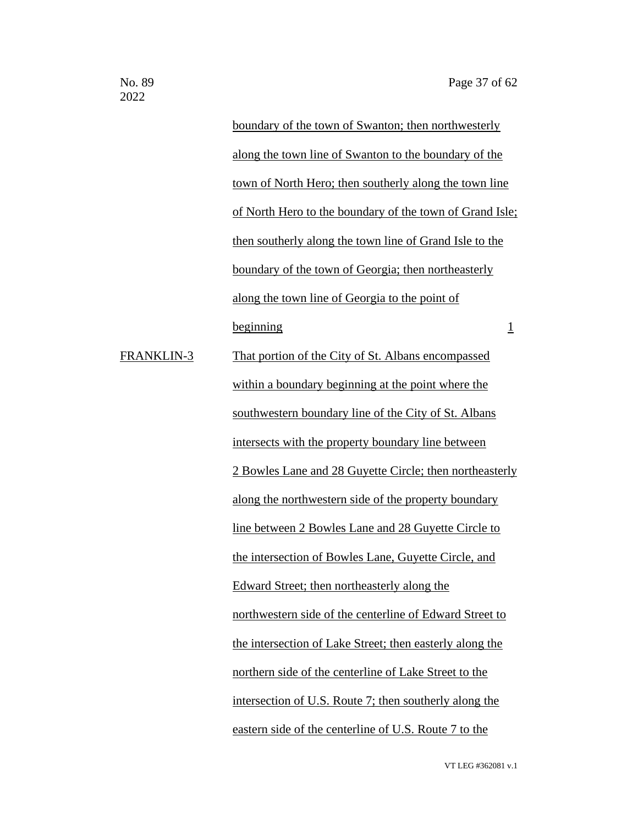boundary of the town of Swanton; then northwesterly along the town line of Swanton to the boundary of the town of North Hero; then southerly along the town line of North Hero to the boundary of the town of Grand Isle; then southerly along the town line of Grand Isle to the boundary of the town of Georgia; then northeasterly along the town line of Georgia to the point of beginning 1 FRANKLIN-3 That portion of the City of St. Albans encompassed within a boundary beginning at the point where the southwestern boundary line of the City of St. Albans intersects with the property boundary line between 2 Bowles Lane and 28 Guyette Circle; then northeasterly along the northwestern side of the property boundary line between 2 Bowles Lane and 28 Guyette Circle to the intersection of Bowles Lane, Guyette Circle, and Edward Street; then northeasterly along the northwestern side of the centerline of Edward Street to the intersection of Lake Street; then easterly along the northern side of the centerline of Lake Street to the intersection of U.S. Route 7; then southerly along the eastern side of the centerline of U.S. Route 7 to the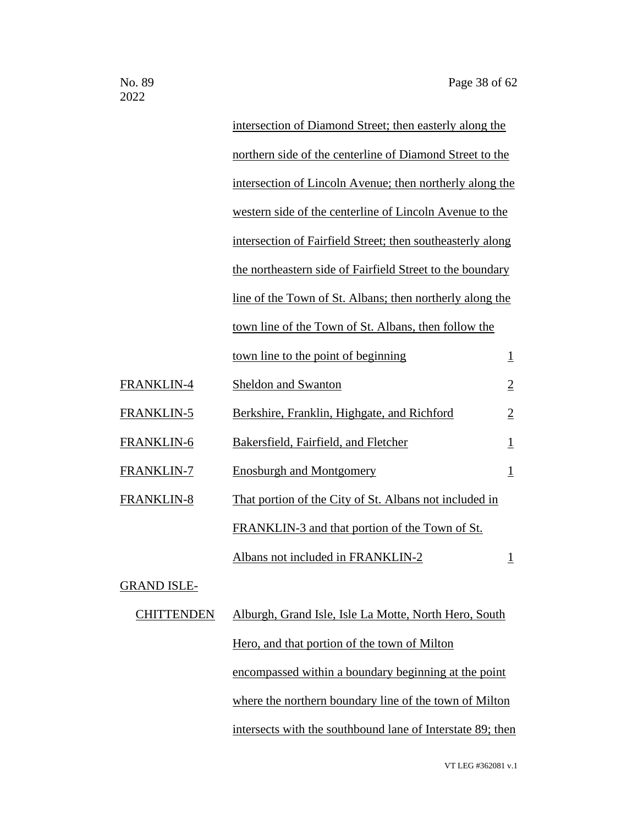| intersection of Diamond Street; then easterly along the    |                         |
|------------------------------------------------------------|-------------------------|
| northern side of the centerline of Diamond Street to the   |                         |
| intersection of Lincoln Avenue; then northerly along the   |                         |
| western side of the centerline of Lincoln Avenue to the    |                         |
| intersection of Fairfield Street; then southeasterly along |                         |
| the northeastern side of Fairfield Street to the boundary  |                         |
| line of the Town of St. Albans; then northerly along the   |                         |
| town line of the Town of St. Albans, then follow the       |                         |
| town line to the point of beginning                        | $\overline{1}$          |
| <b>Sheldon and Swanton</b>                                 | $\overline{2}$          |
| Berkshire, Franklin, Highgate, and Richford                | $\overline{2}$          |
| Bakersfield, Fairfield, and Fletcher                       | $\overline{1}$          |
| <b>Enosburgh and Montgomery</b>                            | $\overline{\mathbf{1}}$ |
| That portion of the City of St. Albans not included in     |                         |
| FRANKLIN-3 and that portion of the Town of St.             |                         |
| Albans not included in FRANKLIN-2                          | $\overline{1}$          |
|                                                            |                         |

## GRAND ISLE-

| 'HITTENDEN | Alburgh, Grand Isle, Isle La Motte, North Hero, South      |
|------------|------------------------------------------------------------|
|            | Hero, and that portion of the town of Milton               |
|            | encompassed within a boundary beginning at the point       |
|            | where the northern boundary line of the town of Milton     |
|            | intersects with the southbound lane of Interstate 89; then |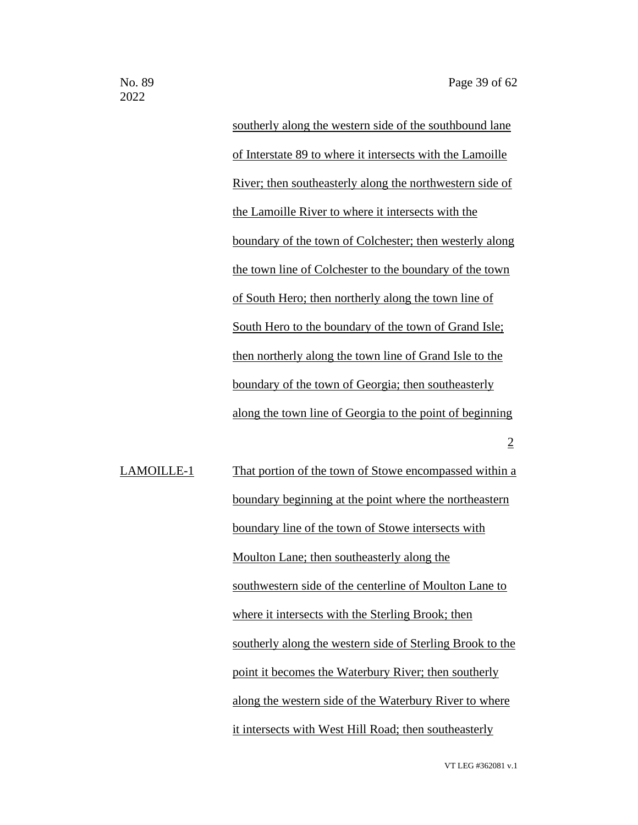southerly along the western side of the southbound lane of Interstate 89 to where it intersects with the Lamoille River; then southeasterly along the northwestern side of the Lamoille River to where it intersects with the boundary of the town of Colchester; then westerly along the town line of Colchester to the boundary of the town of South Hero; then northerly along the town line of South Hero to the boundary of the town of Grand Isle; then northerly along the town line of Grand Isle to the boundary of the town of Georgia; then southeasterly along the town line of Georgia to the point of beginning 2

LAMOILLE-1 That portion of the town of Stowe encompassed within a boundary beginning at the point where the northeastern boundary line of the town of Stowe intersects with Moulton Lane; then southeasterly along the southwestern side of the centerline of Moulton Lane to where it intersects with the Sterling Brook; then southerly along the western side of Sterling Brook to the point it becomes the Waterbury River; then southerly along the western side of the Waterbury River to where it intersects with West Hill Road; then southeasterly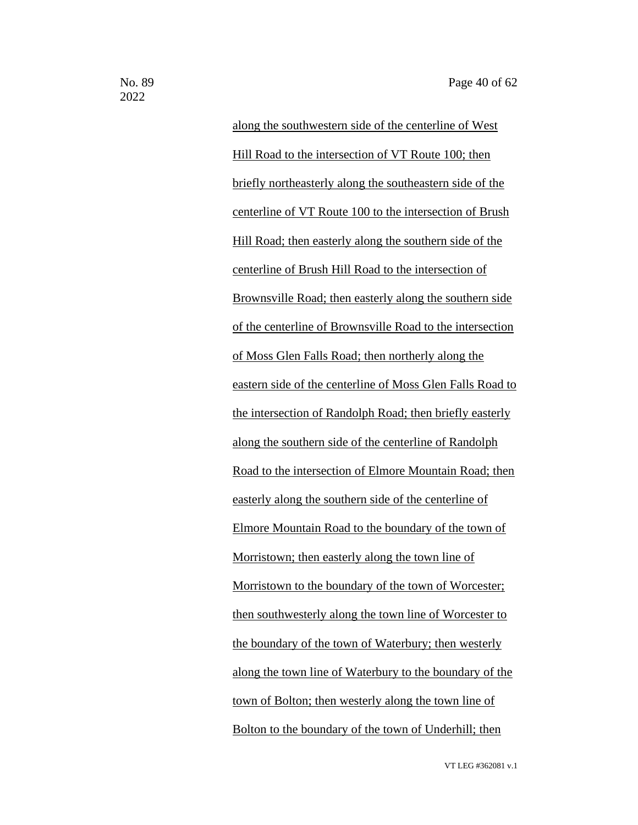along the southwestern side of the centerline of West Hill Road to the intersection of VT Route 100; then briefly northeasterly along the southeastern side of the centerline of VT Route 100 to the intersection of Brush Hill Road; then easterly along the southern side of the centerline of Brush Hill Road to the intersection of Brownsville Road; then easterly along the southern side of the centerline of Brownsville Road to the intersection of Moss Glen Falls Road; then northerly along the eastern side of the centerline of Moss Glen Falls Road to the intersection of Randolph Road; then briefly easterly along the southern side of the centerline of Randolph Road to the intersection of Elmore Mountain Road; then easterly along the southern side of the centerline of Elmore Mountain Road to the boundary of the town of Morristown; then easterly along the town line of Morristown to the boundary of the town of Worcester; then southwesterly along the town line of Worcester to the boundary of the town of Waterbury; then westerly along the town line of Waterbury to the boundary of the town of Bolton; then westerly along the town line of Bolton to the boundary of the town of Underhill; then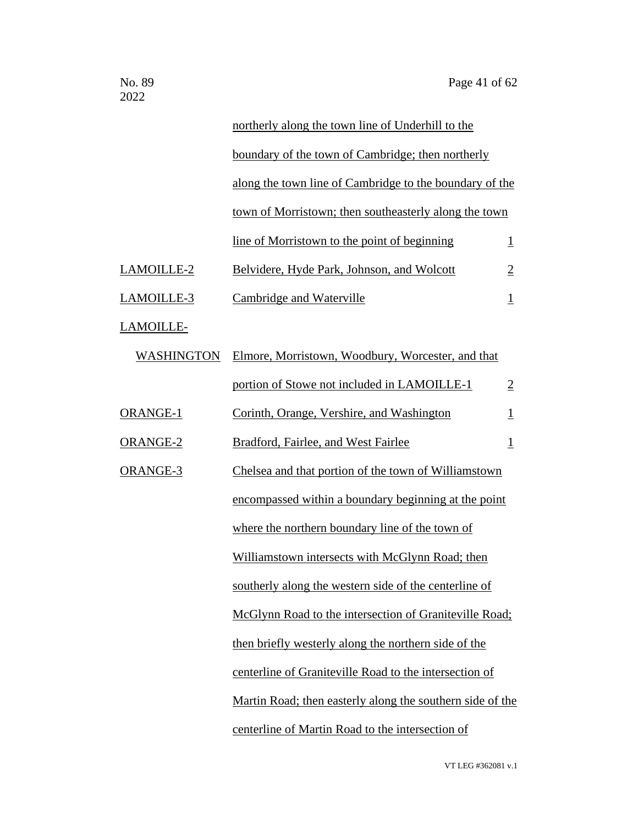|                   | northerly along the town line of Underhill to the         |                         |
|-------------------|-----------------------------------------------------------|-------------------------|
|                   | boundary of the town of Cambridge; then northerly         |                         |
|                   | along the town line of Cambridge to the boundary of the   |                         |
|                   | town of Morristown; then southeasterly along the town     |                         |
|                   | line of Morristown to the point of beginning              | $\perp$                 |
| LAMOILLE-2        | Belvidere, Hyde Park, Johnson, and Wolcott                | $\overline{2}$          |
| LAMOILLE-3        | <b>Cambridge and Waterville</b>                           | $\perp$                 |
| LAMOILLE-         |                                                           |                         |
| <b>WASHINGTON</b> | Elmore, Morristown, Woodbury, Worcester, and that         |                         |
|                   | portion of Stowe not included in LAMOILLE-1               | $\overline{2}$          |
| ORANGE-1          | Corinth, Orange, Vershire, and Washington                 | $\overline{\mathbf{1}}$ |
| <b>ORANGE-2</b>   | Bradford, Fairlee, and West Fairlee                       | $\overline{\mathbf{1}}$ |
| ORANGE-3          | Chelsea and that portion of the town of Williamstown      |                         |
|                   | encompassed within a boundary beginning at the point      |                         |
|                   | where the northern boundary line of the town of           |                         |
|                   | Williamstown intersects with McGlynn Road; then           |                         |
|                   | southerly along the western side of the centerline of     |                         |
|                   | McGlynn Road to the intersection of Graniteville Road;    |                         |
|                   | then briefly westerly along the northern side of the      |                         |
|                   | centerline of Graniteville Road to the intersection of    |                         |
|                   | Martin Road; then easterly along the southern side of the |                         |
|                   | centerline of Martin Road to the intersection of          |                         |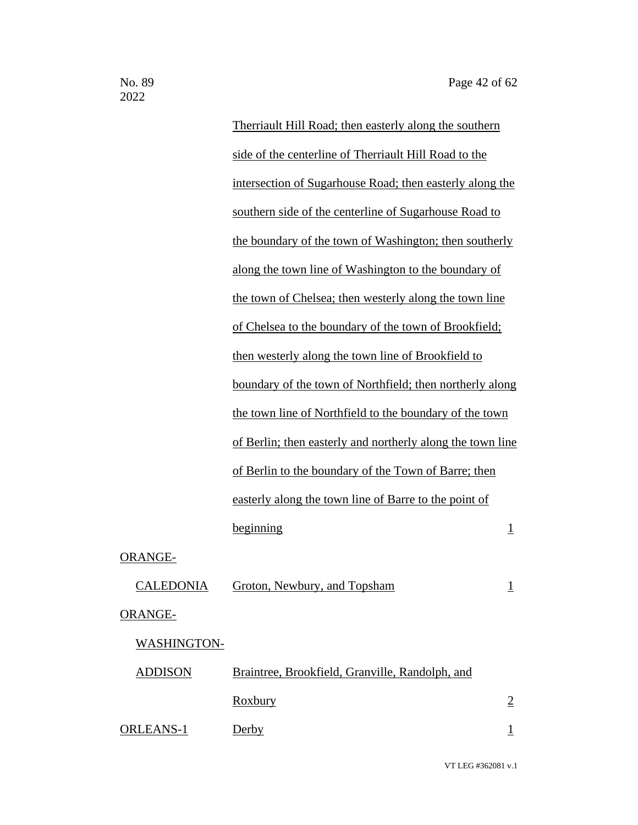|                    | Therriault Hill Road; then easterly along the southern     |                         |
|--------------------|------------------------------------------------------------|-------------------------|
|                    | side of the centerline of Therriault Hill Road to the      |                         |
|                    | intersection of Sugarhouse Road; then easterly along the   |                         |
|                    | southern side of the centerline of Sugarhouse Road to      |                         |
|                    | the boundary of the town of Washington; then southerly     |                         |
|                    | along the town line of Washington to the boundary of       |                         |
|                    | the town of Chelsea; then westerly along the town line     |                         |
|                    | of Chelsea to the boundary of the town of Brookfield;      |                         |
|                    | then westerly along the town line of Brookfield to         |                         |
|                    | boundary of the town of Northfield; then northerly along   |                         |
|                    | the town line of Northfield to the boundary of the town    |                         |
|                    | of Berlin; then easterly and northerly along the town line |                         |
|                    | of Berlin to the boundary of the Town of Barre; then       |                         |
|                    | easterly along the town line of Barre to the point of      |                         |
|                    | beginning                                                  | $\overline{\mathbf{1}}$ |
| <b>ORANGE-</b>     |                                                            |                         |
|                    | CALEDONIA Groton, Newbury, and Topsham                     | $\overline{1}$          |
| <b>ORANGE-</b>     |                                                            |                         |
| <b>WASHINGTON-</b> |                                                            |                         |
| <b>ADDISON</b>     | Braintree, Brookfield, Granville, Randolph, and            |                         |
|                    | <b>Roxbury</b>                                             | $\overline{2}$          |
| <b>ORLEANS-1</b>   | Derby                                                      | $\perp$                 |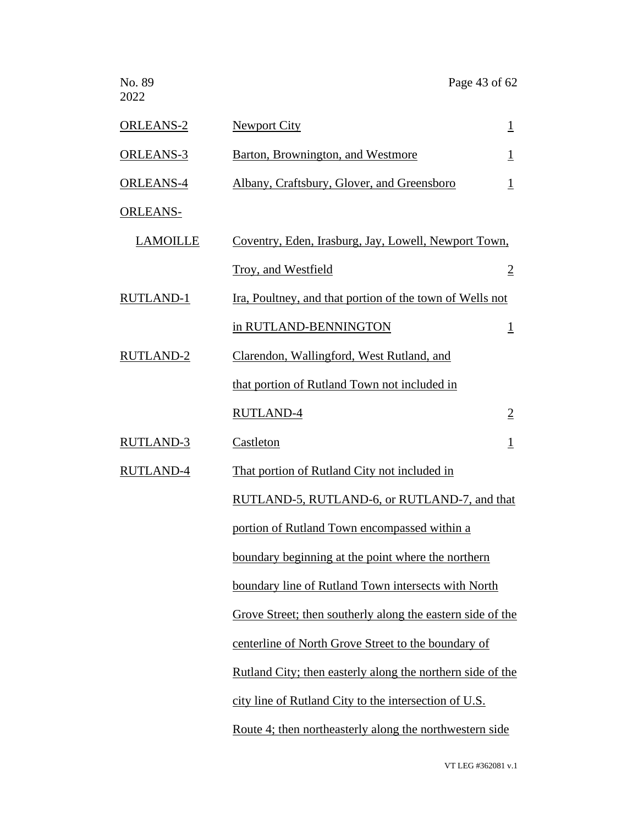| No. 89<br>2022   | Page 43 of 62                                                     |                |
|------------------|-------------------------------------------------------------------|----------------|
| <b>ORLEANS-2</b> | <b>Newport City</b>                                               | $\overline{1}$ |
| <b>ORLEANS-3</b> | <b>Barton, Brownington, and Westmore</b>                          | $\perp$        |
| <b>ORLEANS-4</b> | Albany, Craftsbury, Glover, and Greensboro                        | $\mathbf{1}$   |
| <b>ORLEANS-</b>  |                                                                   |                |
| <b>LAMOILLE</b>  | <u>Coventry, Eden, Irasburg, Jay, Lowell, Newport Town,</u>       |                |
|                  | Troy, and Westfield                                               | $\overline{2}$ |
| <b>RUTLAND-1</b> | Ira, Poultney, and that portion of the town of Wells not          |                |
|                  | in RUTLAND-BENNINGTON                                             | $\overline{1}$ |
| <b>RUTLAND-2</b> | Clarendon, Wallingford, West Rutland, and                         |                |
|                  | that portion of Rutland Town not included in                      |                |
|                  | <b>RUTLAND-4</b>                                                  | $\overline{2}$ |
| <b>RUTLAND-3</b> | <b>Castleton</b>                                                  | $\overline{1}$ |
| <b>RUTLAND-4</b> | That portion of Rutland City not included in                      |                |
|                  | RUTLAND-5, RUTLAND-6, or RUTLAND-7, and that                      |                |
|                  | portion of Rutland Town encompassed within a                      |                |
|                  | boundary beginning at the point where the northern                |                |
|                  | boundary line of Rutland Town intersects with North               |                |
|                  | Grove Street; then southerly along the eastern side of the        |                |
|                  | centerline of North Grove Street to the boundary of               |                |
|                  | <u>Rutland City; then easterly along the northern side of the</u> |                |
|                  | city line of Rutland City to the intersection of U.S.             |                |
|                  | Route 4; then northeasterly along the northwestern side           |                |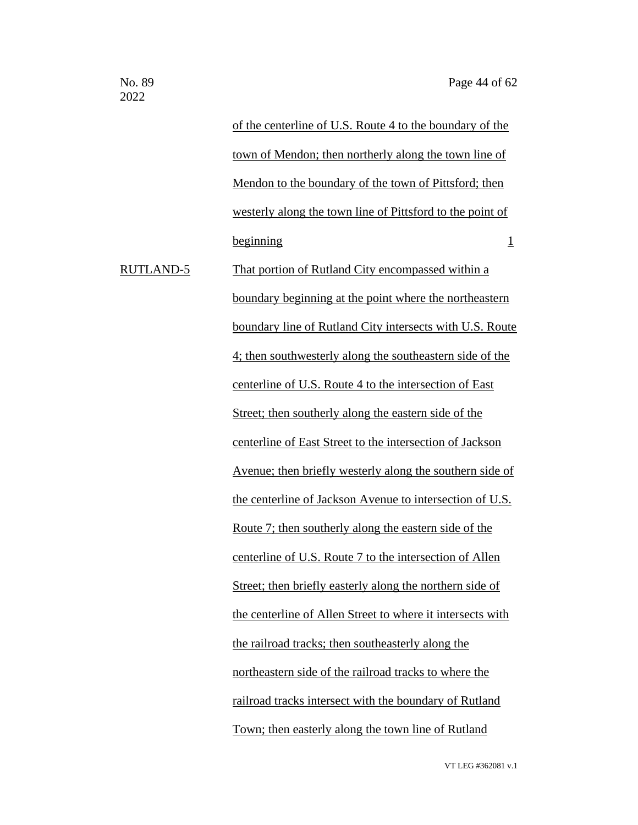|           | of the centerline of U.S. Route 4 to the boundary of the        |
|-----------|-----------------------------------------------------------------|
|           | town of Mendon; then northerly along the town line of           |
|           | Mendon to the boundary of the town of Pittsford; then           |
|           | westerly along the town line of Pittsford to the point of       |
|           | beginning<br>$\perp$                                            |
| RUTLAND-5 | That portion of Rutland City encompassed within a               |
|           | boundary beginning at the point where the northeastern          |
|           | boundary line of Rutland City intersects with U.S. Route        |
|           | 4; then southwesterly along the southeastern side of the        |
|           | centerline of U.S. Route 4 to the intersection of East          |
|           | Street; then southerly along the eastern side of the            |
|           | centerline of East Street to the intersection of Jackson        |
|           | <u>Avenue; then briefly westerly along the southern side of</u> |
|           | the centerline of Jackson Avenue to intersection of U.S.        |
|           | <u>Route 7; then southerly along the eastern side of the</u>    |
|           | centerline of U.S. Route 7 to the intersection of Allen         |
|           | Street; then briefly easterly along the northern side of        |
|           | the centerline of Allen Street to where it intersects with      |
|           | the railroad tracks; then southeasterly along the               |
|           | northeastern side of the railroad tracks to where the           |
|           | railroad tracks intersect with the boundary of Rutland          |
|           | Town; then easterly along the town line of Rutland              |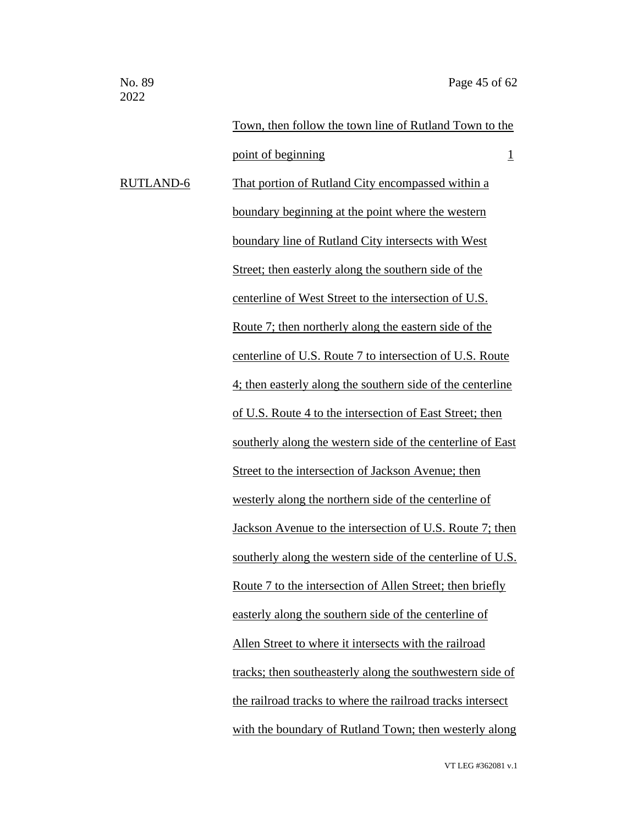Town, then follow the town line of Rutland Town to the point of beginning 1 RUTLAND-6 That portion of Rutland City encompassed within a boundary beginning at the point where the western boundary line of Rutland City intersects with West Street; then easterly along the southern side of the centerline of West Street to the intersection of U.S. Route 7; then northerly along the eastern side of the centerline of U.S. Route 7 to intersection of U.S. Route 4; then easterly along the southern side of the centerline of U.S. Route 4 to the intersection of East Street; then southerly along the western side of the centerline of East Street to the intersection of Jackson Avenue; then westerly along the northern side of the centerline of Jackson Avenue to the intersection of U.S. Route 7; then southerly along the western side of the centerline of U.S. Route 7 to the intersection of Allen Street; then briefly easterly along the southern side of the centerline of Allen Street to where it intersects with the railroad tracks; then southeasterly along the southwestern side of the railroad tracks to where the railroad tracks intersect with the boundary of Rutland Town; then westerly along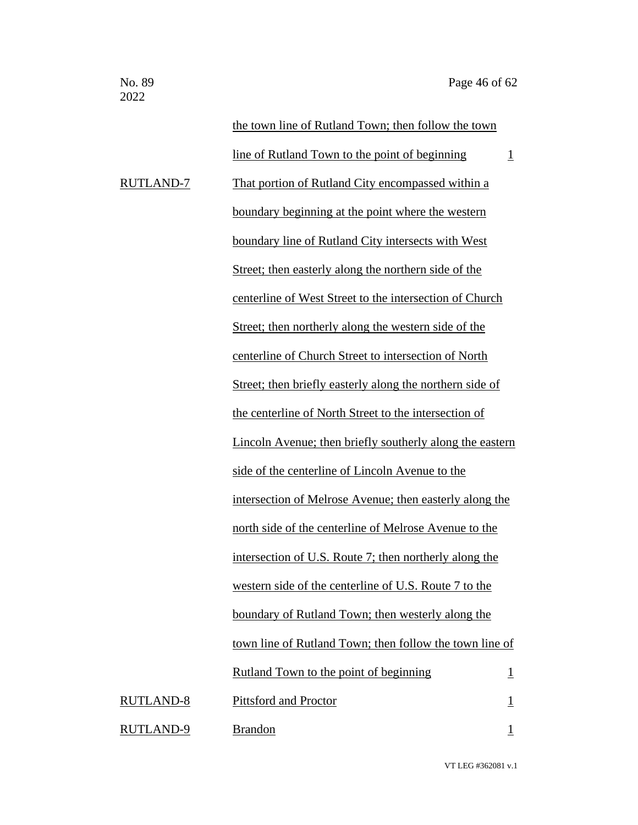|                  | the town line of Rutland Town; then follow the town      |                |
|------------------|----------------------------------------------------------|----------------|
|                  | line of Rutland Town to the point of beginning           | $\overline{1}$ |
| <b>RUTLAND-7</b> | That portion of Rutland City encompassed within a        |                |
|                  | boundary beginning at the point where the western        |                |
|                  | boundary line of Rutland City intersects with West       |                |
|                  | Street; then easterly along the northern side of the     |                |
|                  | centerline of West Street to the intersection of Church  |                |
|                  | Street; then northerly along the western side of the     |                |
|                  | centerline of Church Street to intersection of North     |                |
|                  | Street; then briefly easterly along the northern side of |                |
|                  | the centerline of North Street to the intersection of    |                |
|                  | Lincoln Avenue; then briefly southerly along the eastern |                |
|                  | side of the centerline of Lincoln Avenue to the          |                |
|                  | intersection of Melrose Avenue; then easterly along the  |                |
|                  | north side of the centerline of Melrose Avenue to the    |                |
|                  | intersection of U.S. Route 7; then northerly along the   |                |
|                  | western side of the centerline of U.S. Route 7 to the    |                |
|                  | boundary of Rutland Town; then westerly along the        |                |
|                  | town line of Rutland Town; then follow the town line of  |                |
|                  | Rutland Town to the point of beginning                   | $\overline{1}$ |
| RUTLAND-8        | <b>Pittsford and Proctor</b>                             | $\mathbf{1}$   |
| RUTLAND-9        | <b>Brandon</b>                                           | $\mathbf{1}$   |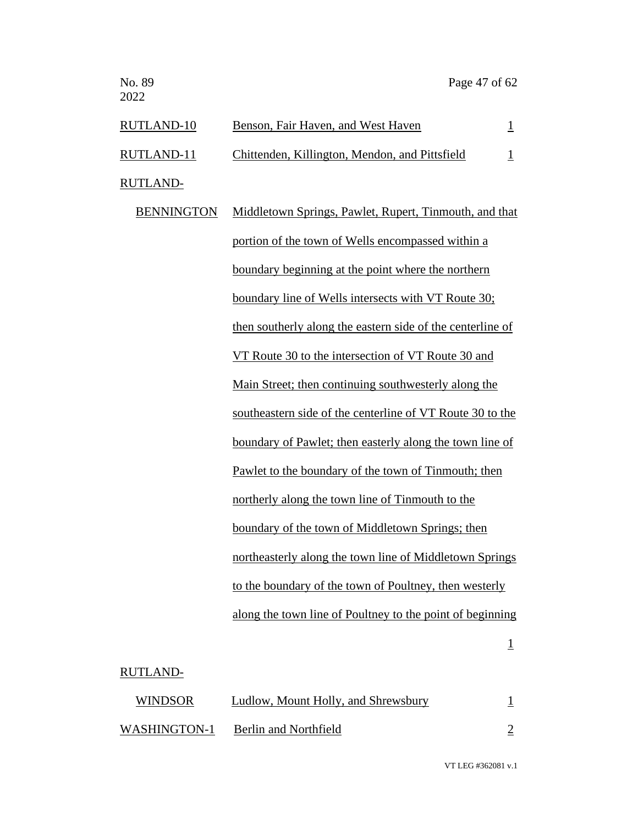| RUTLAND-10        | Benson, Fair Haven, and West Haven                     |  |
|-------------------|--------------------------------------------------------|--|
| RUTLAND-11        | Chittenden, Killington, Mendon, and Pittsfield         |  |
| RUTLAND-          |                                                        |  |
| <b>BENNINGTON</b> | Middletown Springs, Pawlet, Rupert, Tinmouth, and that |  |
|                   | portion of the town of Wells encompassed within a      |  |

boundary beginning at the point where the northern boundary line of Wells intersects with VT Route 30; then southerly along the eastern side of the centerline of VT Route 30 to the intersection of VT Route 30 and Main Street; then continuing southwesterly along the southeastern side of the centerline of VT Route 30 to the boundary of Pawlet; then easterly along the town line of Pawlet to the boundary of the town of Tinmouth; then northerly along the town line of Tinmouth to the boundary of the town of Middletown Springs; then northeasterly along the town line of Middletown Springs to the boundary of the town of Poultney, then westerly along the town line of Poultney to the point of beginning

#### 1

#### RUTLAND-

| <b>WINDSOR</b> | Ludlow, Mount Holly, and Shrewsbury |  |
|----------------|-------------------------------------|--|
| WASHINGTON-1   | Berlin and Northfield               |  |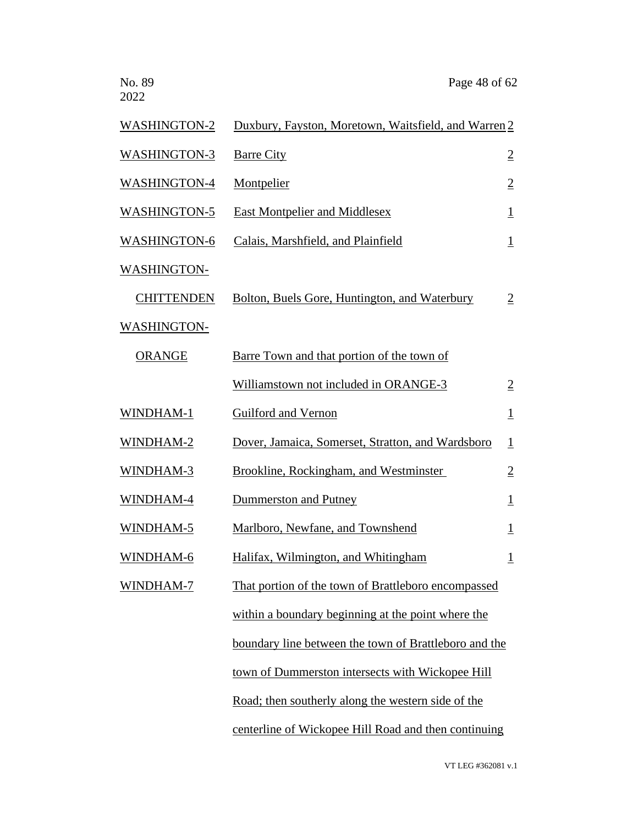No. 89 Page 48 of 62 2022 WASHINGTON-2 Duxbury, Fayston, Moretown, Waitsfield, and Warren 2 WASHINGTON-3 Barre City 2 WASHINGTON-4 Montpelier 2 WASHINGTON-5 East Montpelier and Middlesex 1 WASHINGTON-6 Calais, Marshfield, and Plainfield 1 WASHINGTON- CHITTENDEN Bolton, Buels Gore, Huntington, and Waterbury 2 WASHINGTON- ORANGE Barre Town and that portion of the town of Williamstown not included in ORANGE-3 2 WINDHAM-1 Guilford and Vernon 1 WINDHAM-2 Dover, Jamaica, Somerset, Stratton, and Wardsboro 1 WINDHAM-3 Brookline, Rockingham, and Westminster 2 WINDHAM-4 Dummerston and Putney 1 WINDHAM-5 Marlboro, Newfane, and Townshend 1 WINDHAM-6 Halifax, Wilmington, and Whitingham 1 WINDHAM-7 That portion of the town of Brattleboro encompassed within a boundary beginning at the point where the boundary line between the town of Brattleboro and the town of Dummerston intersects with Wickopee Hill Road; then southerly along the western side of the centerline of Wickopee Hill Road and then continuing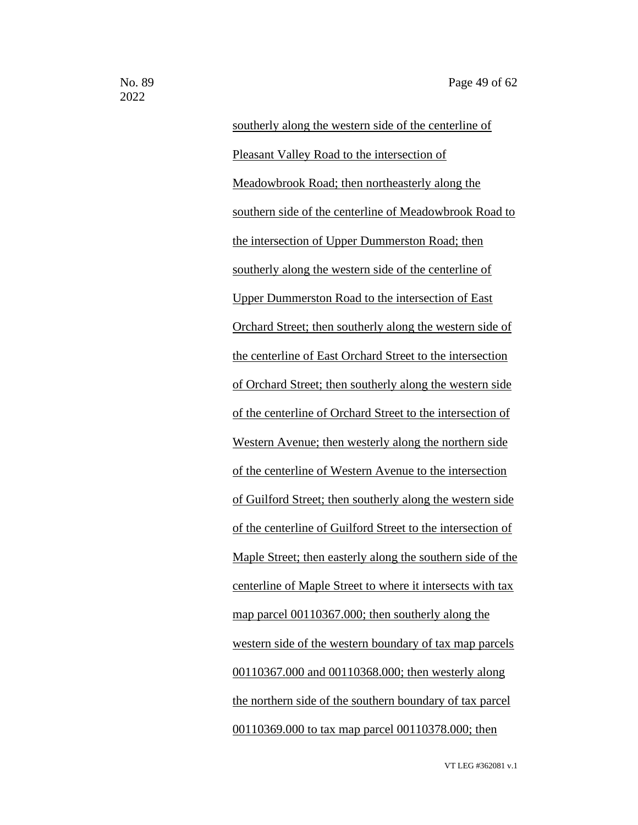southerly along the western side of the centerline of Pleasant Valley Road to the intersection of Meadowbrook Road; then northeasterly along the southern side of the centerline of Meadowbrook Road to the intersection of Upper Dummerston Road; then southerly along the western side of the centerline of Upper Dummerston Road to the intersection of East Orchard Street; then southerly along the western side of the centerline of East Orchard Street to the intersection of Orchard Street; then southerly along the western side of the centerline of Orchard Street to the intersection of Western Avenue; then westerly along the northern side of the centerline of Western Avenue to the intersection of Guilford Street; then southerly along the western side of the centerline of Guilford Street to the intersection of Maple Street; then easterly along the southern side of the centerline of Maple Street to where it intersects with tax map parcel 00110367.000; then southerly along the western side of the western boundary of tax map parcels 00110367.000 and 00110368.000; then westerly along the northern side of the southern boundary of tax parcel 00110369.000 to tax map parcel 00110378.000; then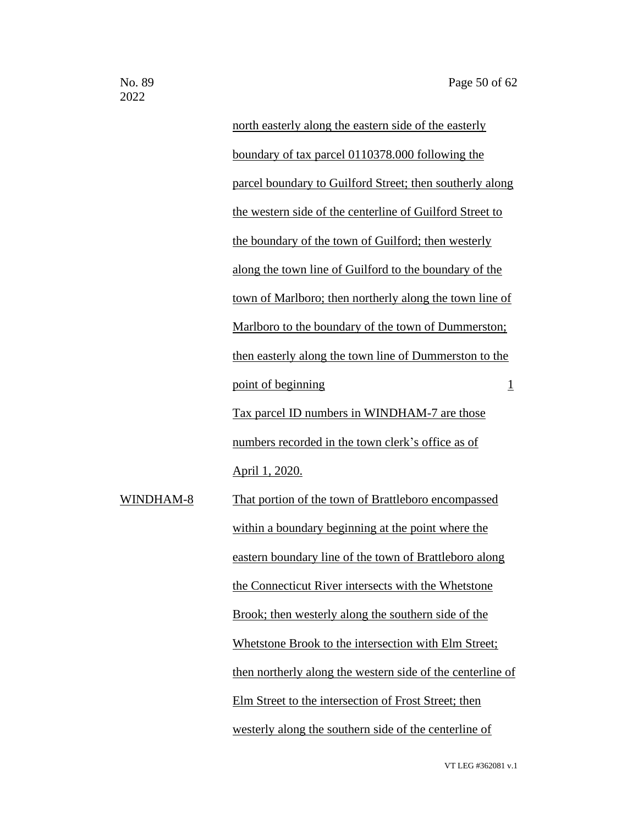north easterly along the eastern side of the easterly boundary of tax parcel 0110378.000 following the parcel boundary to Guilford Street; then southerly along the western side of the centerline of Guilford Street to the boundary of the town of Guilford; then westerly along the town line of Guilford to the boundary of the town of Marlboro; then northerly along the town line of Marlboro to the boundary of the town of Dummerston; then easterly along the town line of Dummerston to the point of beginning 1 Tax parcel ID numbers in WINDHAM-7 are those numbers recorded in the town clerk's office as of April 1, 2020. WINDHAM-8 That portion of the town of Brattleboro encompassed within a boundary beginning at the point where the eastern boundary line of the town of Brattleboro along the Connecticut River intersects with the Whetstone Brook; then westerly along the southern side of the Whetstone Brook to the intersection with Elm Street; then northerly along the western side of the centerline of Elm Street to the intersection of Frost Street; then westerly along the southern side of the centerline of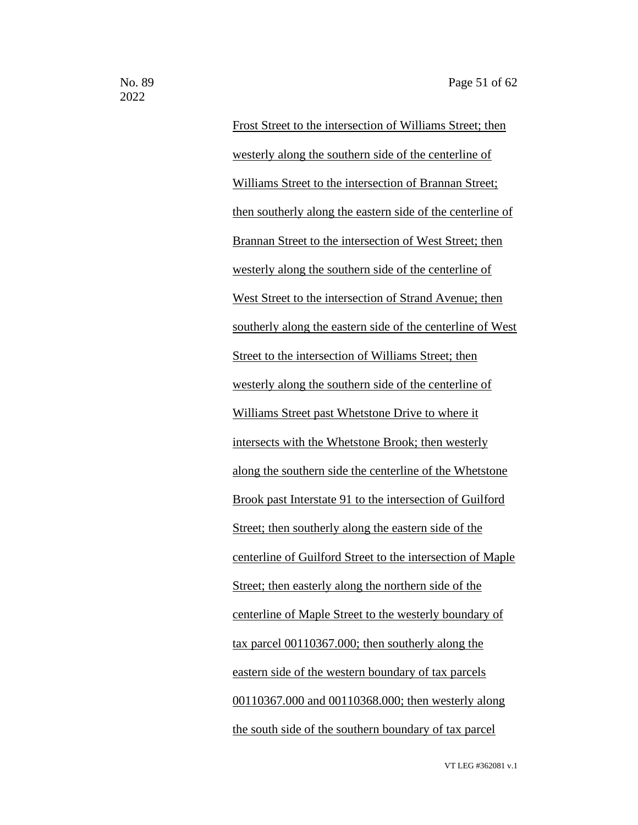Frost Street to the intersection of Williams Street; then westerly along the southern side of the centerline of Williams Street to the intersection of Brannan Street; then southerly along the eastern side of the centerline of Brannan Street to the intersection of West Street; then westerly along the southern side of the centerline of West Street to the intersection of Strand Avenue; then southerly along the eastern side of the centerline of West Street to the intersection of Williams Street; then westerly along the southern side of the centerline of Williams Street past Whetstone Drive to where it intersects with the Whetstone Brook; then westerly along the southern side the centerline of the Whetstone Brook past Interstate 91 to the intersection of Guilford Street; then southerly along the eastern side of the centerline of Guilford Street to the intersection of Maple Street; then easterly along the northern side of the centerline of Maple Street to the westerly boundary of tax parcel 00110367.000; then southerly along the eastern side of the western boundary of tax parcels 00110367.000 and 00110368.000; then westerly along the south side of the southern boundary of tax parcel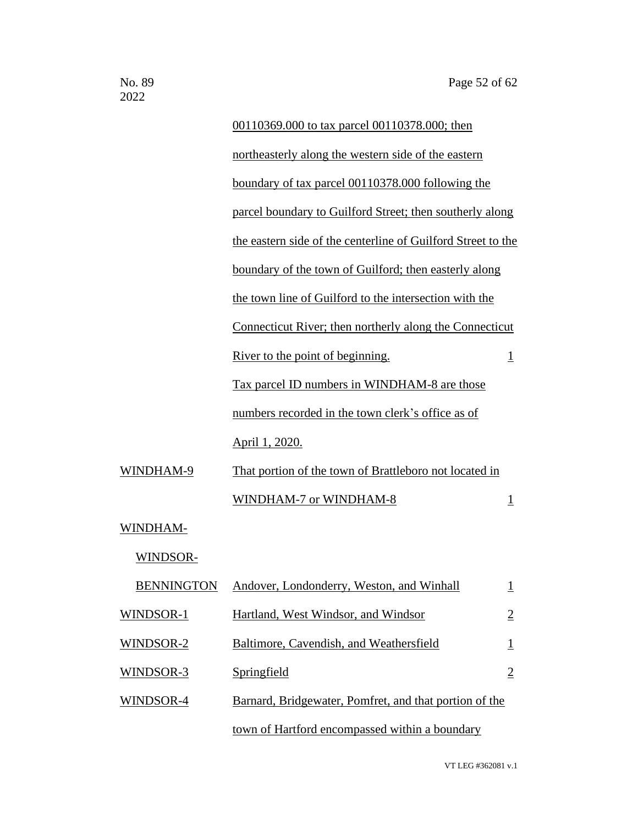|           | 00110369.000 to tax parcel 00110378.000; then                |                         |
|-----------|--------------------------------------------------------------|-------------------------|
|           | northeasterly along the western side of the eastern          |                         |
|           | boundary of tax parcel 00110378.000 following the            |                         |
|           | parcel boundary to Guilford Street; then southerly along     |                         |
|           | the eastern side of the centerline of Guilford Street to the |                         |
|           | boundary of the town of Guilford; then easterly along        |                         |
|           | the town line of Guilford to the intersection with the       |                         |
|           | Connecticut River; then northerly along the Connecticut      |                         |
|           | River to the point of beginning.                             | $\overline{\mathbf{1}}$ |
|           | Tax parcel ID numbers in WINDHAM-8 are those                 |                         |
|           | numbers recorded in the town clerk's office as of            |                         |
|           | April 1, 2020.                                               |                         |
| WINDHAM-9 | That portion of the town of Brattleboro not located in       |                         |
|           | WINDHAM-7 or WINDHAM-8                                       | 1                       |
| WINDHAM-  |                                                              |                         |
| WINDSOR-  |                                                              |                         |
|           | <b>BENNINGTON</b> Andover, Londonderry, Weston, and Winhall  | $\overline{1}$          |
| WINDSOR-1 | Hartland, West Windsor, and Windsor                          | $\overline{2}$          |
| WINDSOR-2 | Baltimore, Cavendish, and Weathersfield                      | $\mathbf{1}$            |
| WINDSOR-3 | Springfield                                                  | $\overline{2}$          |
| WINDSOR-4 | Barnard, Bridgewater, Pomfret, and that portion of the       |                         |
|           | town of Hartford encompassed within a boundary               |                         |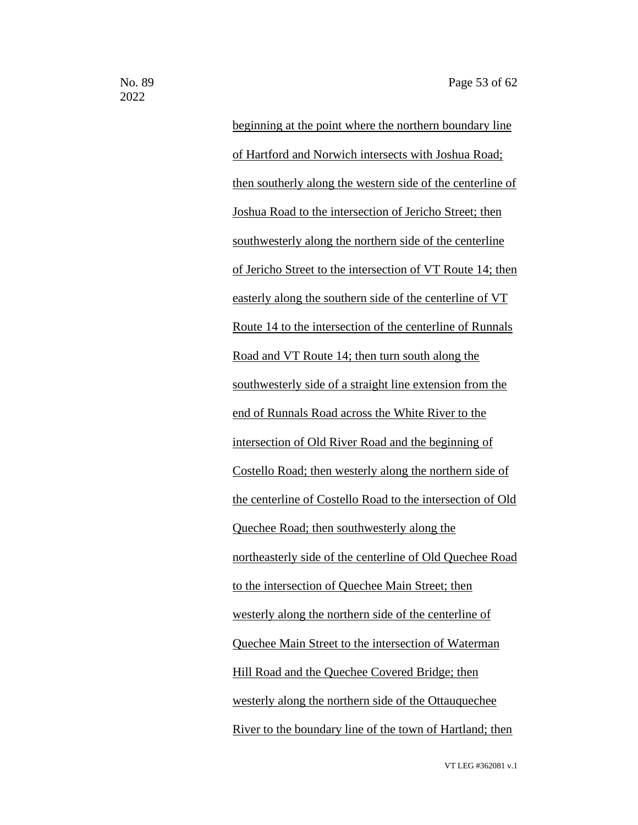beginning at the point where the northern boundary line of Hartford and Norwich intersects with Joshua Road; then southerly along the western side of the centerline of Joshua Road to the intersection of Jericho Street; then southwesterly along the northern side of the centerline of Jericho Street to the intersection of VT Route 14; then easterly along the southern side of the centerline of VT Route 14 to the intersection of the centerline of Runnals Road and VT Route 14; then turn south along the southwesterly side of a straight line extension from the end of Runnals Road across the White River to the intersection of Old River Road and the beginning of Costello Road; then westerly along the northern side of the centerline of Costello Road to the intersection of Old Quechee Road; then southwesterly along the northeasterly side of the centerline of Old Quechee Road to the intersection of Quechee Main Street; then westerly along the northern side of the centerline of Quechee Main Street to the intersection of Waterman Hill Road and the Quechee Covered Bridge; then westerly along the northern side of the Ottauquechee River to the boundary line of the town of Hartland; then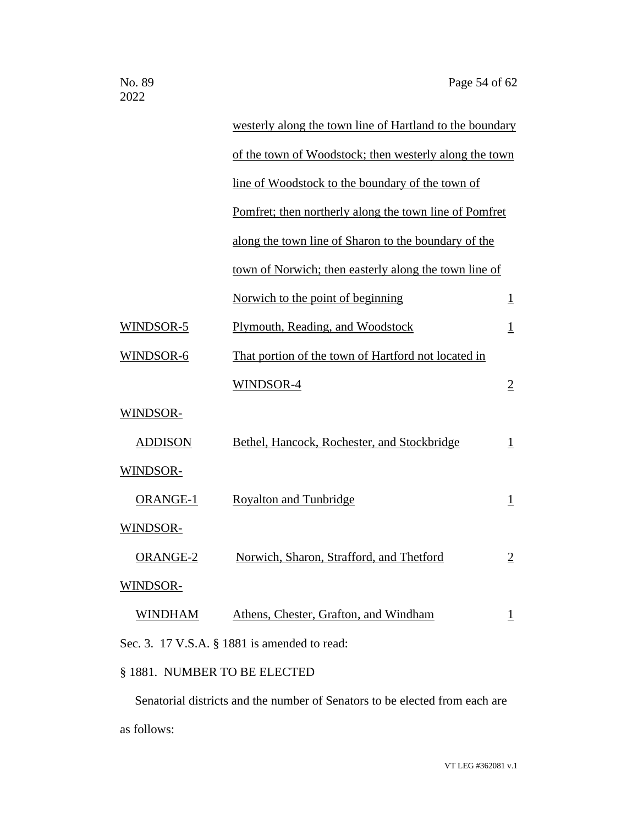|                                              | westerly along the town line of Hartland to the boundary |                          |  |
|----------------------------------------------|----------------------------------------------------------|--------------------------|--|
|                                              | of the town of Woodstock; then westerly along the town   |                          |  |
|                                              | line of Woodstock to the boundary of the town of         |                          |  |
|                                              | Pomfret; then northerly along the town line of Pomfret   |                          |  |
|                                              | along the town line of Sharon to the boundary of the     |                          |  |
|                                              | town of Norwich; then easterly along the town line of    |                          |  |
|                                              | Norwich to the point of beginning                        | $\overline{\mathbf{1}}$  |  |
| WINDSOR-5                                    | Plymouth, Reading, and Woodstock                         | <u>1</u>                 |  |
| WINDSOR-6                                    | That portion of the town of Hartford not located in      |                          |  |
|                                              | WINDSOR-4                                                | $\overline{2}$           |  |
| WINDSOR-                                     |                                                          |                          |  |
| <b>ADDISON</b>                               | Bethel, Hancock, Rochester, and Stockbridge              | $\mathbf{\underline{1}}$ |  |
| WINDSOR-                                     |                                                          |                          |  |
| <b>ORANGE-1</b>                              | <b>Royalton and Tunbridge</b>                            | $\overline{1}$           |  |
| WINDSOR-                                     |                                                          |                          |  |
| ORANGE-2                                     | Norwich, Sharon, Strafford, and Thetford                 | $\overline{2}$           |  |
| WINDSOR-                                     |                                                          |                          |  |
| <u>WINDHAM</u>                               | Athens, Chester, Grafton, and Windham                    | T                        |  |
| Sec. 3. 17 V.S.A. § 1881 is amended to read: |                                                          |                          |  |

## § 1881. NUMBER TO BE ELECTED

Senatorial districts and the number of Senators to be elected from each are as follows: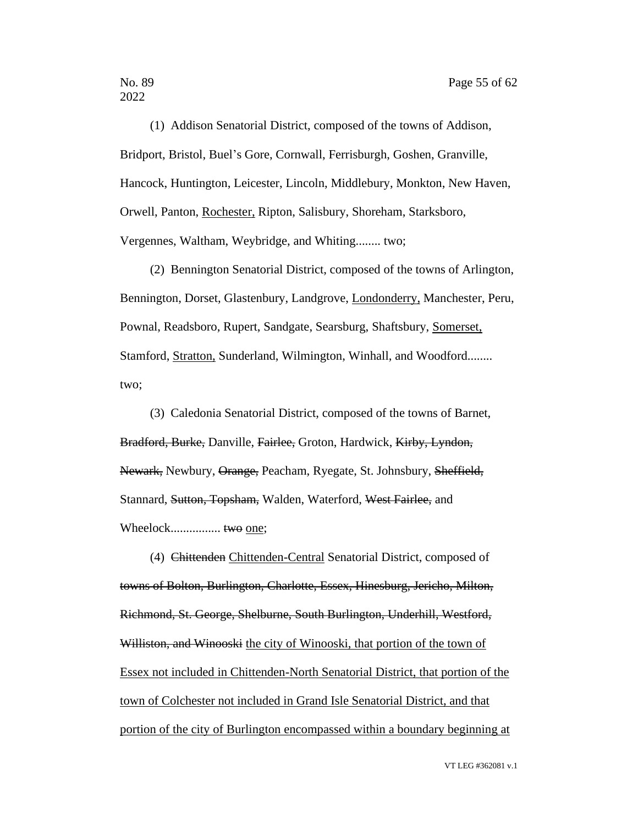(1) Addison Senatorial District, composed of the towns of Addison, Bridport, Bristol, Buel's Gore, Cornwall, Ferrisburgh, Goshen, Granville, Hancock, Huntington, Leicester, Lincoln, Middlebury, Monkton, New Haven, Orwell, Panton, Rochester, Ripton, Salisbury, Shoreham, Starksboro, Vergennes, Waltham, Weybridge, and Whiting........ two;

(2) Bennington Senatorial District, composed of the towns of Arlington, Bennington, Dorset, Glastenbury, Landgrove, Londonderry, Manchester, Peru, Pownal, Readsboro, Rupert, Sandgate, Searsburg, Shaftsbury, Somerset, Stamford, Stratton, Sunderland, Wilmington, Winhall, and Woodford........ two;

(3) Caledonia Senatorial District, composed of the towns of Barnet, Bradford, Burke, Danville, Fairlee, Groton, Hardwick, Kirby, Lyndon, Newark, Newbury, Orange, Peacham, Ryegate, St. Johnsbury, Sheffield, Stannard, Sutton, Topsham, Walden, Waterford, West Fairlee, and Wheelock................ two one;

(4) Chittenden Chittenden-Central Senatorial District, composed of towns of Bolton, Burlington, Charlotte, Essex, Hinesburg, Jericho, Milton, Richmond, St. George, Shelburne, South Burlington, Underhill, Westford, Williston, and Winooski the city of Winooski, that portion of the town of Essex not included in Chittenden-North Senatorial District, that portion of the town of Colchester not included in Grand Isle Senatorial District, and that portion of the city of Burlington encompassed within a boundary beginning at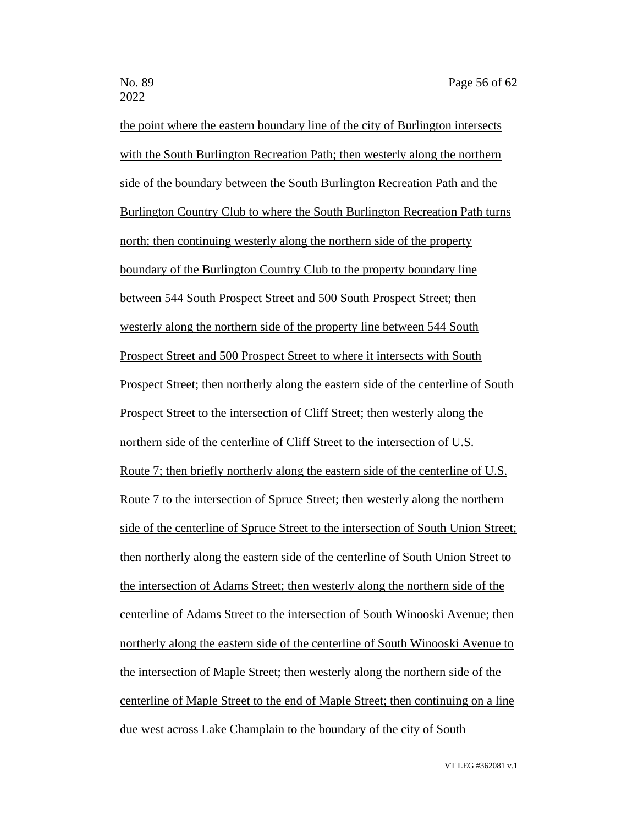the point where the eastern boundary line of the city of Burlington intersects with the South Burlington Recreation Path; then westerly along the northern side of the boundary between the South Burlington Recreation Path and the Burlington Country Club to where the South Burlington Recreation Path turns north; then continuing westerly along the northern side of the property boundary of the Burlington Country Club to the property boundary line between 544 South Prospect Street and 500 South Prospect Street; then westerly along the northern side of the property line between 544 South Prospect Street and 500 Prospect Street to where it intersects with South Prospect Street; then northerly along the eastern side of the centerline of South Prospect Street to the intersection of Cliff Street; then westerly along the northern side of the centerline of Cliff Street to the intersection of U.S. Route 7; then briefly northerly along the eastern side of the centerline of U.S. Route 7 to the intersection of Spruce Street; then westerly along the northern side of the centerline of Spruce Street to the intersection of South Union Street; then northerly along the eastern side of the centerline of South Union Street to the intersection of Adams Street; then westerly along the northern side of the centerline of Adams Street to the intersection of South Winooski Avenue; then northerly along the eastern side of the centerline of South Winooski Avenue to the intersection of Maple Street; then westerly along the northern side of the centerline of Maple Street to the end of Maple Street; then continuing on a line due west across Lake Champlain to the boundary of the city of South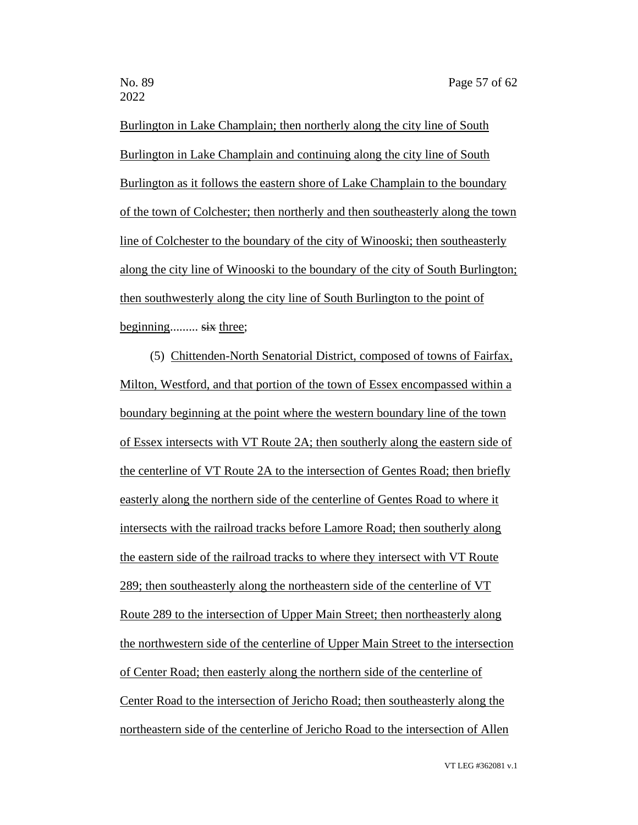Burlington in Lake Champlain; then northerly along the city line of South Burlington in Lake Champlain and continuing along the city line of South Burlington as it follows the eastern shore of Lake Champlain to the boundary of the town of Colchester; then northerly and then southeasterly along the town line of Colchester to the boundary of the city of Winooski; then southeasterly along the city line of Winooski to the boundary of the city of South Burlington; then southwesterly along the city line of South Burlington to the point of beginning......... six three;

(5) Chittenden-North Senatorial District, composed of towns of Fairfax, Milton, Westford, and that portion of the town of Essex encompassed within a boundary beginning at the point where the western boundary line of the town of Essex intersects with VT Route 2A; then southerly along the eastern side of the centerline of VT Route 2A to the intersection of Gentes Road; then briefly easterly along the northern side of the centerline of Gentes Road to where it intersects with the railroad tracks before Lamore Road; then southerly along the eastern side of the railroad tracks to where they intersect with VT Route 289; then southeasterly along the northeastern side of the centerline of VT Route 289 to the intersection of Upper Main Street; then northeasterly along the northwestern side of the centerline of Upper Main Street to the intersection of Center Road; then easterly along the northern side of the centerline of Center Road to the intersection of Jericho Road; then southeasterly along the northeastern side of the centerline of Jericho Road to the intersection of Allen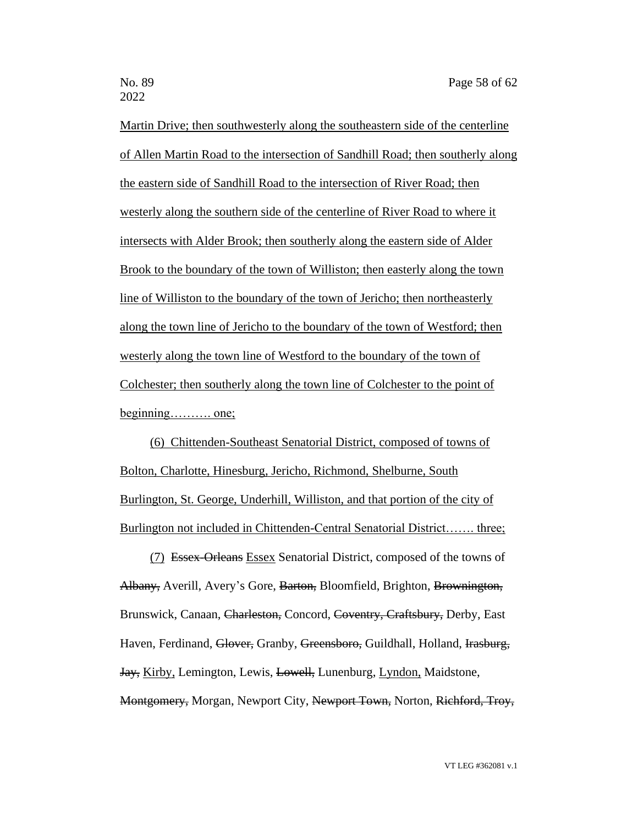Martin Drive; then southwesterly along the southeastern side of the centerline of Allen Martin Road to the intersection of Sandhill Road; then southerly along the eastern side of Sandhill Road to the intersection of River Road; then westerly along the southern side of the centerline of River Road to where it intersects with Alder Brook; then southerly along the eastern side of Alder Brook to the boundary of the town of Williston; then easterly along the town line of Williston to the boundary of the town of Jericho; then northeasterly along the town line of Jericho to the boundary of the town of Westford; then westerly along the town line of Westford to the boundary of the town of Colchester; then southerly along the town line of Colchester to the point of beginning………. one;

(6) Chittenden-Southeast Senatorial District, composed of towns of Bolton, Charlotte, Hinesburg, Jericho, Richmond, Shelburne, South Burlington, St. George, Underhill, Williston, and that portion of the city of Burlington not included in Chittenden-Central Senatorial District……. three;

(7) Essex-Orleans Essex Senatorial District, composed of the towns of Albany, Averill, Avery's Gore, Barton, Bloomfield, Brighton, Brownington, Brunswick, Canaan, Charleston, Concord, Coventry, Craftsbury, Derby, East Haven, Ferdinand, Glover, Granby, Greensboro, Guildhall, Holland, Irasburg, Jay, Kirby, Lemington, Lewis, Lowell, Lunenburg, Lyndon, Maidstone, Montgomery, Morgan, Newport City, Newport Town, Norton, Richford, Troy,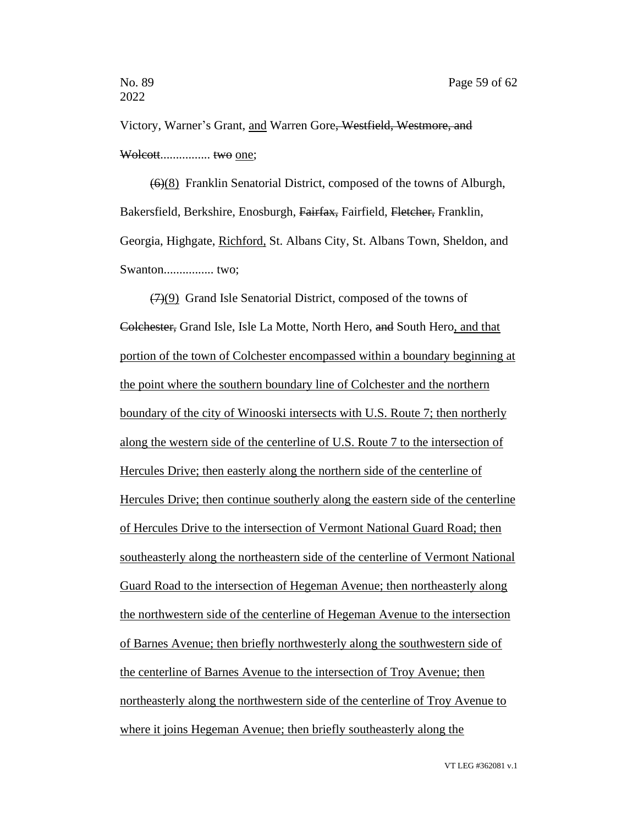Victory, Warner's Grant, and Warren Gore, Westfield, Westmore, and Wolcott................ two one;

(6)(8) Franklin Senatorial District, composed of the towns of Alburgh, Bakersfield, Berkshire, Enosburgh, Fairfax, Fairfield, Fletcher, Franklin, Georgia, Highgate, Richford, St. Albans City, St. Albans Town, Sheldon, and Swanton................ two;

(7)(9) Grand Isle Senatorial District, composed of the towns of Colchester, Grand Isle, Isle La Motte, North Hero, and South Hero, and that portion of the town of Colchester encompassed within a boundary beginning at the point where the southern boundary line of Colchester and the northern boundary of the city of Winooski intersects with U.S. Route 7; then northerly along the western side of the centerline of U.S. Route 7 to the intersection of Hercules Drive; then easterly along the northern side of the centerline of Hercules Drive; then continue southerly along the eastern side of the centerline of Hercules Drive to the intersection of Vermont National Guard Road; then southeasterly along the northeastern side of the centerline of Vermont National Guard Road to the intersection of Hegeman Avenue; then northeasterly along the northwestern side of the centerline of Hegeman Avenue to the intersection of Barnes Avenue; then briefly northwesterly along the southwestern side of the centerline of Barnes Avenue to the intersection of Troy Avenue; then northeasterly along the northwestern side of the centerline of Troy Avenue to where it joins Hegeman Avenue; then briefly southeasterly along the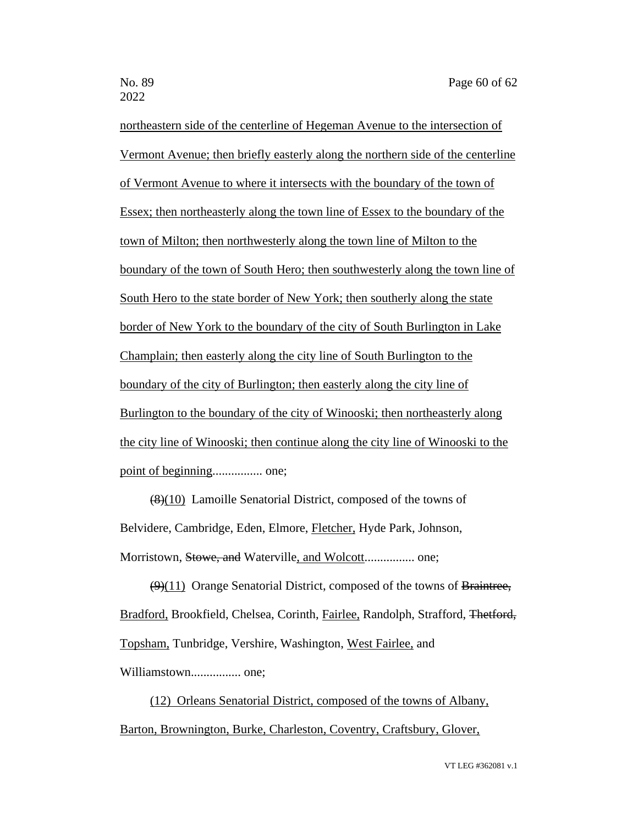northeastern side of the centerline of Hegeman Avenue to the intersection of Vermont Avenue; then briefly easterly along the northern side of the centerline of Vermont Avenue to where it intersects with the boundary of the town of Essex; then northeasterly along the town line of Essex to the boundary of the town of Milton; then northwesterly along the town line of Milton to the boundary of the town of South Hero; then southwesterly along the town line of South Hero to the state border of New York; then southerly along the state border of New York to the boundary of the city of South Burlington in Lake Champlain; then easterly along the city line of South Burlington to the boundary of the city of Burlington; then easterly along the city line of Burlington to the boundary of the city of Winooski; then northeasterly along the city line of Winooski; then continue along the city line of Winooski to the point of beginning................ one;

(8)(10) Lamoille Senatorial District, composed of the towns of Belvidere, Cambridge, Eden, Elmore, Fletcher, Hyde Park, Johnson, Morristown, Stowe, and Waterville, and Wolcott................ one;

(9)(11) Orange Senatorial District, composed of the towns of Braintree, Bradford, Brookfield, Chelsea, Corinth, Fairlee, Randolph, Strafford, Thetford, Topsham, Tunbridge, Vershire, Washington, West Fairlee, and Williamstown................ one;

(12) Orleans Senatorial District, composed of the towns of Albany, Barton, Brownington, Burke, Charleston, Coventry, Craftsbury, Glover,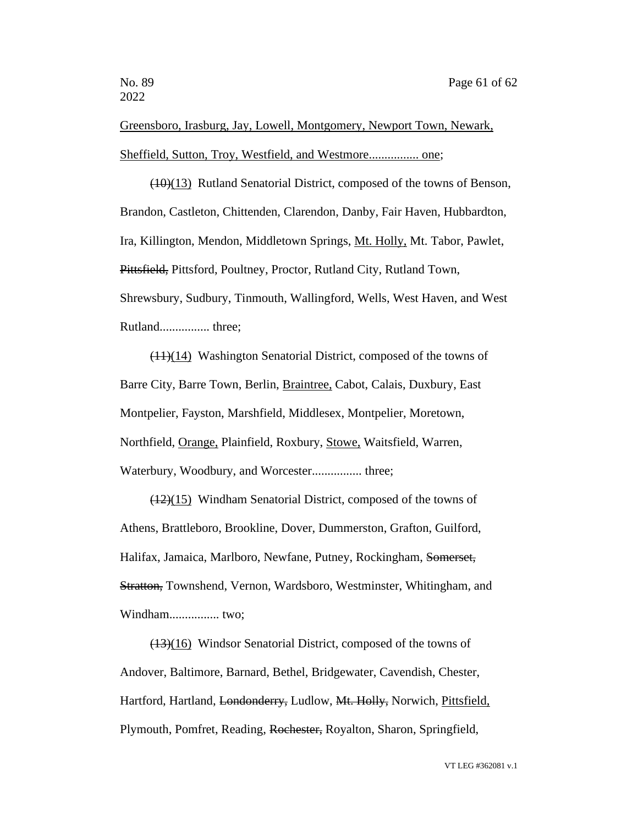Greensboro, Irasburg, Jay, Lowell, Montgomery, Newport Town, Newark, Sheffield, Sutton, Troy, Westfield, and Westmore................ one;

(10)(13) Rutland Senatorial District, composed of the towns of Benson, Brandon, Castleton, Chittenden, Clarendon, Danby, Fair Haven, Hubbardton, Ira, Killington, Mendon, Middletown Springs, Mt. Holly, Mt. Tabor, Pawlet, Pittsfield, Pittsford, Poultney, Proctor, Rutland City, Rutland Town, Shrewsbury, Sudbury, Tinmouth, Wallingford, Wells, West Haven, and West Rutland................ three;

(11)(14) Washington Senatorial District, composed of the towns of Barre City, Barre Town, Berlin, Braintree, Cabot, Calais, Duxbury, East Montpelier, Fayston, Marshfield, Middlesex, Montpelier, Moretown, Northfield, Orange, Plainfield, Roxbury, Stowe, Waitsfield, Warren, Waterbury, Woodbury, and Worcester................ three;

(12)(15) Windham Senatorial District, composed of the towns of Athens, Brattleboro, Brookline, Dover, Dummerston, Grafton, Guilford, Halifax, Jamaica, Marlboro, Newfane, Putney, Rockingham, Somerset, Stratton, Townshend, Vernon, Wardsboro, Westminster, Whitingham, and Windham................ two;

(13)(16) Windsor Senatorial District, composed of the towns of Andover, Baltimore, Barnard, Bethel, Bridgewater, Cavendish, Chester, Hartford, Hartland, Londonderry, Ludlow, Mt. Holly, Norwich, Pittsfield, Plymouth, Pomfret, Reading, Rochester, Royalton, Sharon, Springfield,